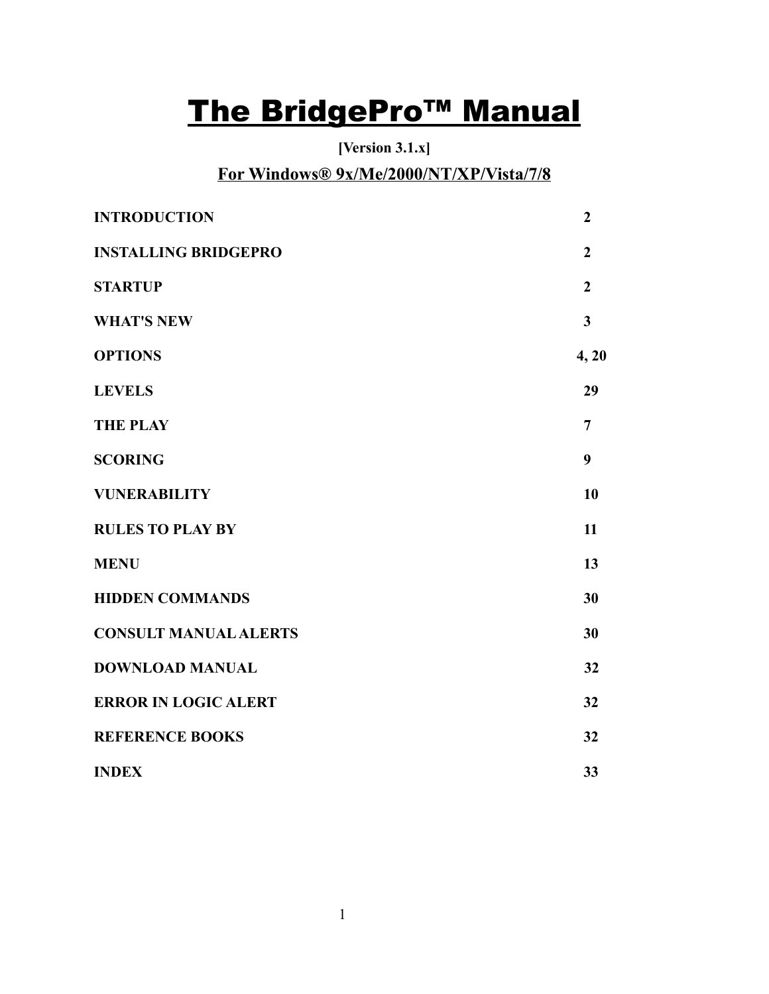# The BridgePro<sup>™</sup> Manual

**[Version 3.1.x]**

# **For Windows® 9x/Me/2000/NT/XP/Vista/7/8**

| <b>INTRODUCTION</b>          | $\overline{2}$ |
|------------------------------|----------------|
| <b>INSTALLING BRIDGEPRO</b>  | $\overline{2}$ |
| <b>STARTUP</b>               | $\overline{2}$ |
| <b>WHAT'S NEW</b>            | 3              |
| <b>OPTIONS</b>               | 4, 20          |
| <b>LEVELS</b>                | 29             |
| <b>THE PLAY</b>              | $\overline{7}$ |
| <b>SCORING</b>               | 9              |
| <b>VUNERABILITY</b>          | 10             |
| <b>RULES TO PLAY BY</b>      | 11             |
| <b>MENU</b>                  | 13             |
| <b>HIDDEN COMMANDS</b>       | 30             |
| <b>CONSULT MANUAL ALERTS</b> | 30             |
| <b>DOWNLOAD MANUAL</b>       | 32             |
| <b>ERROR IN LOGIC ALERT</b>  | 32             |
| <b>REFERENCE BOOKS</b>       | 32             |
| <b>INDEX</b>                 | 33             |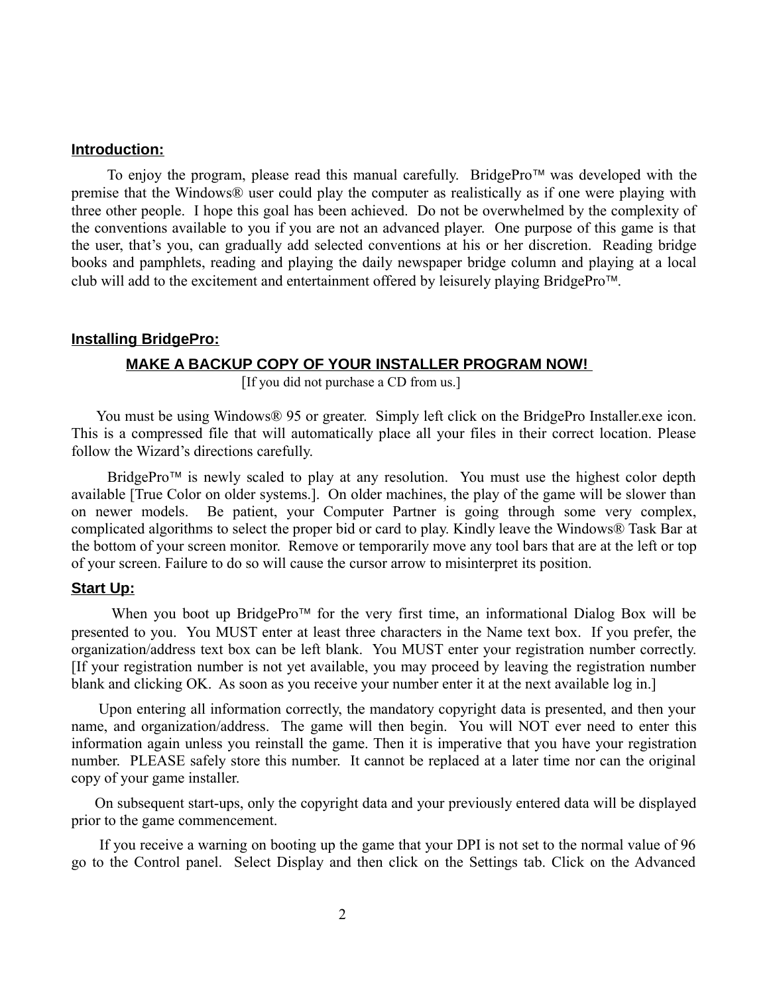#### **Introduction:**

To enjoy the program, please read this manual carefully. BridgePro<sup> $\text{TM}$ </sup> was developed with the premise that the Windows® user could play the computer as realistically as if one were playing with three other people. I hope this goal has been achieved. Do not be overwhelmed by the complexity of the conventions available to you if you are not an advanced player. One purpose of this game is that the user, that's you, can gradually add selected conventions at his or her discretion. Reading bridge books and pamphlets, reading and playing the daily newspaper bridge column and playing at a local club will add to the excitement and entertainment offered by leisurely playing BridgePro<sup>TM</sup>.

#### **Installing BridgePro:**

#### **MAKE A BACKUP COPY OF YOUR INSTALLER PROGRAM NOW!**

[If you did not purchase a CD from us.]

You must be using Windows® 95 or greater. Simply left click on the BridgePro Installer.exe icon. This is a compressed file that will automatically place all your files in their correct location. Please follow the Wizard's directions carefully.

BridgePro<sup> $TM$ </sup> is newly scaled to play at any resolution. You must use the highest color depth available [True Color on older systems.]. On older machines, the play of the game will be slower than on newer models. Be patient, your Computer Partner is going through some very complex, complicated algorithms to select the proper bid or card to play. Kindly leave the Windows® Task Bar at the bottom of your screen monitor. Remove or temporarily move any tool bars that are at the left or top of your screen. Failure to do so will cause the cursor arrow to misinterpret its position.

#### **Start Up:**

When you boot up BridgePro<sup> $\text{TM}$ </sup> for the very first time, an informational Dialog Box will be presented to you. You MUST enter at least three characters in the Name text box. If you prefer, the organization/address text box can be left blank. You MUST enter your registration number correctly. [If your registration number is not yet available, you may proceed by leaving the registration number blank and clicking OK. As soon as you receive your number enter it at the next available log in.]

 Upon entering all information correctly, the mandatory copyright data is presented, and then your name, and organization/address. The game will then begin. You will NOT ever need to enter this information again unless you reinstall the game. Then it is imperative that you have your registration number. PLEASE safely store this number. It cannot be replaced at a later time nor can the original copy of your game installer.

 On subsequent start-ups, only the copyright data and your previously entered data will be displayed prior to the game commencement.

 If you receive a warning on booting up the game that your DPI is not set to the normal value of 96 go to the Control panel. Select Display and then click on the Settings tab. Click on the Advanced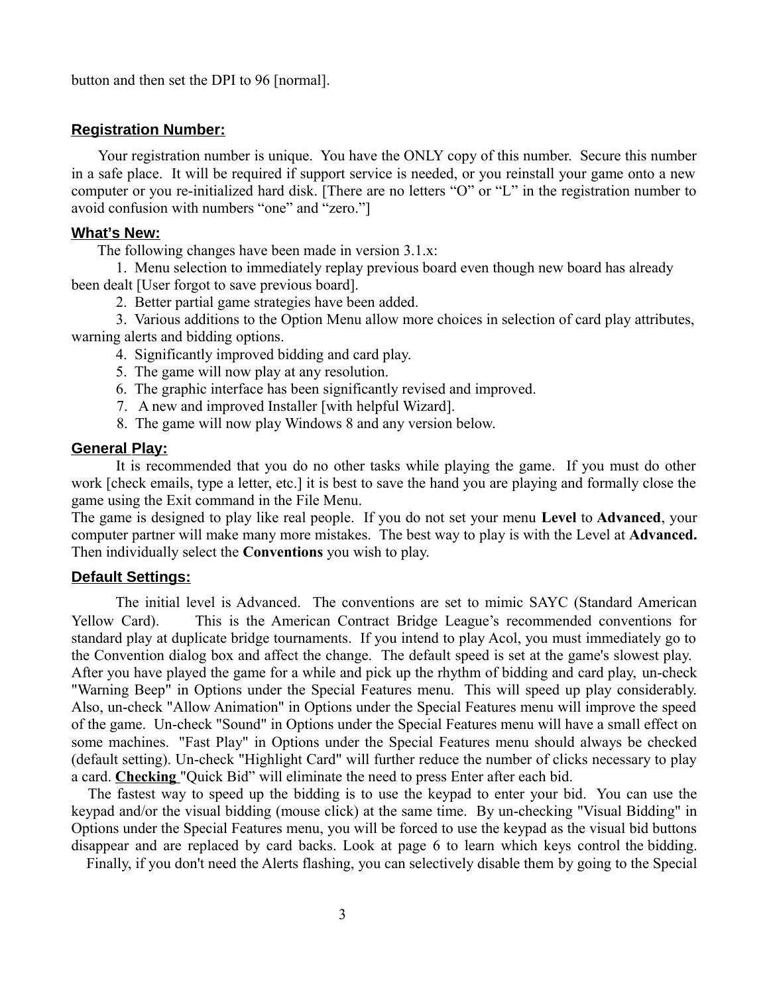button and then set the DPI to 96 [normal].

#### **Registration Number:**

 Your registration number is unique. You have the ONLY copy of this number. Secure this number in a safe place. It will be required if support service is needed, or you reinstall your game onto a new computer or you re-initialized hard disk. [There are no letters "O" or "L" in the registration number to avoid confusion with numbers "one" and "zero."]

#### What's New:

The following changes have been made in version 3.1.x:

1. Menu selection to immediately replay previous board even though new board has already been dealt [User forgot to save previous board].

2. Better partial game strategies have been added.

3. Various additions to the Option Menu allow more choices in selection of card play attributes, warning alerts and bidding options.

- 4. Significantly improved bidding and card play.
- 5. The game will now play at any resolution.
- 6. The graphic interface has been significantly revised and improved.
- 7. A new and improved Installer [with helpful Wizard].
- 8. The game will now play Windows 8 and any version below.

#### **General Play:**

It is recommended that you do no other tasks while playing the game. If you must do other work [check emails, type a letter, etc.] it is best to save the hand you are playing and formally close the game using the Exit command in the File Menu.

The game is designed to play like real people. If you do not set your menu **Level** to **Advanced**, your computer partner will make many more mistakes. The best way to play is with the Level at **Advanced.** Then individually select the **Conventions** you wish to play.

#### **Default Settings:**

 The initial level is Advanced. The conventions are set to mimic SAYC (Standard American Yellow Card). This is the American Contract Bridge League's recommended conventions for standard play at duplicate bridge tournaments. If you intend to play Acol, you must immediately go to the Convention dialog box and affect the change. The default speed is set at the game's slowest play. After you have played the game for a while and pick up the rhythm of bidding and card play, un-check "Warning Beep" in Options under the Special Features menu. This will speed up play considerably. Also, un-check "Allow Animation" in Options under the Special Features menu will improve the speed of the game. Un-check "Sound" in Options under the Special Features menu will have a small effect on some machines. "Fast Play" in Options under the Special Features menu should always be checked (default setting). Un-check "Highlight Card" will further reduce the number of clicks necessary to play a card. **Checking** "Quick Bid" will eliminate the need to press Enter after each bid.

 The fastest way to speed up the bidding is to use the keypad to enter your bid. You can use the keypad and/or the visual bidding (mouse click) at the same time. By un-checking "Visual Bidding" in Options under the Special Features menu, you will be forced to use the keypad as the visual bid buttons disappear and are replaced by card backs. Look at page 6 to learn which keys control the bidding.

Finally, if you don't need the Alerts flashing, you can selectively disable them by going to the Special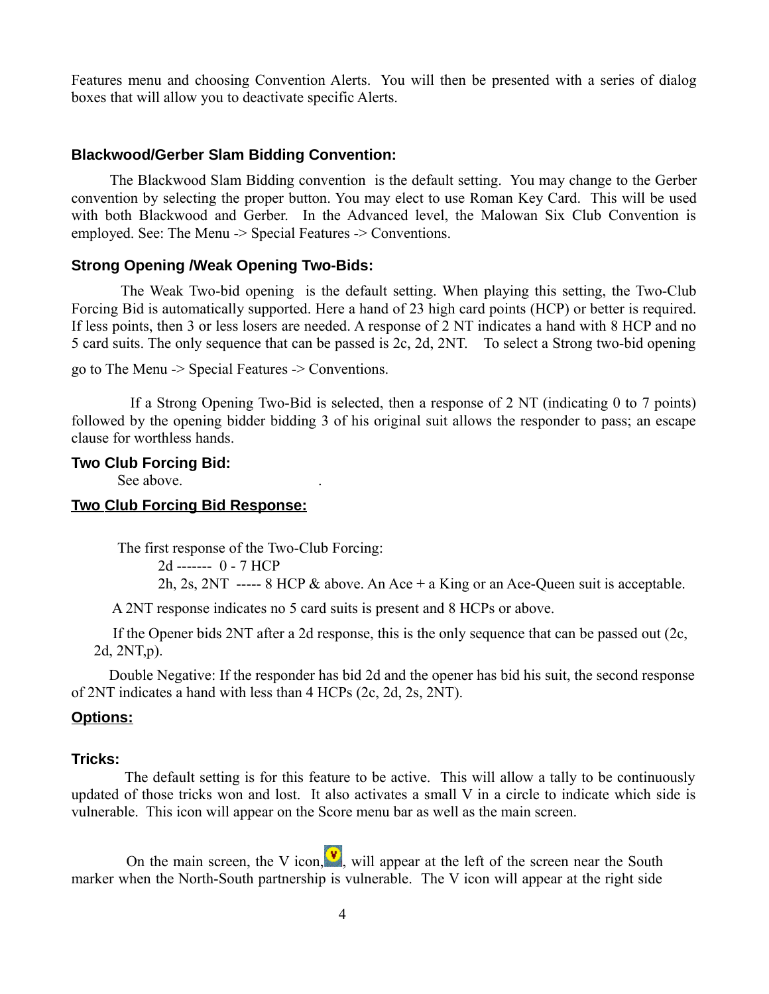Features menu and choosing Convention Alerts. You will then be presented with a series of dialog boxes that will allow you to deactivate specific Alerts.

#### **Blackwood/Gerber Slam Bidding Convention:**

 The Blackwood Slam Bidding convention is the default setting. You may change to the Gerber convention by selecting the proper button. You may elect to use Roman Key Card. This will be used with both Blackwood and Gerber. In the Advanced level, the Malowan Six Club Convention is employed. See: The Menu -> Special Features -> Conventions.

#### **Strong Opening /Weak Opening Two-Bids:**

 The Weak Two-bid opening is the default setting. When playing this setting, the Two-Club Forcing Bid is automatically supported. Here a hand of 23 high card points (HCP) or better is required. If less points, then 3 or less losers are needed. A response of 2 NT indicates a hand with 8 HCP and no 5 card suits. The only sequence that can be passed is 2c, 2d, 2NT. To select a Strong two-bid opening

```
go to The Menu -> Special Features -> Conventions.
```
 If a Strong Opening Two-Bid is selected, then a response of 2 NT (indicating 0 to 7 points) followed by the opening bidder bidding 3 of his original suit allows the responder to pass; an escape clause for worthless hands.

#### **Two Club Forcing Bid:**

See above.

#### **Two Club Forcing Bid Response:**

The first response of the Two-Club Forcing:

```
 2d ------- 0 - 7 HCP 
2h, 2s, 2NT ----- 8 HCP \& above. An Ace + a King or an Ace-Queen suit is acceptable.
```
A 2NT response indicates no 5 card suits is present and 8 HCPs or above.

 If the Opener bids 2NT after a 2d response, this is the only sequence that can be passed out (2c, 2d, 2NT,p).

 Double Negative: If the responder has bid 2d and the opener has bid his suit, the second response of 2NT indicates a hand with less than 4 HCPs (2c, 2d, 2s, 2NT).

#### **Options:**

#### **Tricks:**

 The default setting is for this feature to be active. This will allow a tally to be continuously updated of those tricks won and lost. It also activates a small V in a circle to indicate which side is vulnerable. This icon will appear on the Score menu bar as well as the main screen.

On the main screen, the V icon,  $\mathbf{v}$ , will appear at the left of the screen near the South marker when the North-South partnership is vulnerable. The V icon will appear at the right side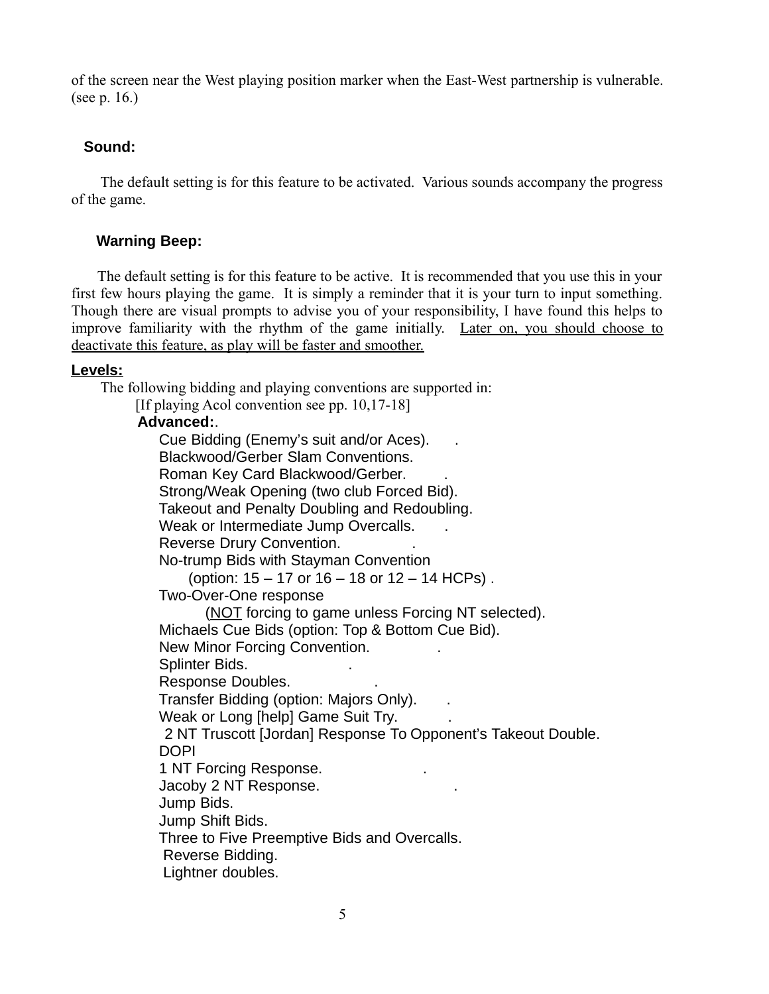of the screen near the West playing position marker when the East-West partnership is vulnerable. (see p. 16.)

## **Sound:**

 The default setting is for this feature to be activated. Various sounds accompany the progress of the game.

## **Warning Beep:**

 The default setting is for this feature to be active. It is recommended that you use this in your first few hours playing the game. It is simply a reminder that it is your turn to input something. Though there are visual prompts to advise you of your responsibility, I have found this helps to improve familiarity with the rhythm of the game initially. Later on, you should choose to deactivate this feature, as play will be faster and smoother.

#### **Levels:**

The following bidding and playing conventions are supported in:

[If playing Acol convention see pp. 10,17-18]

#### **Advanced:**.

 Cue Bidding (Enemy's suit and/or Aces). . Blackwood/Gerber Slam Conventions. Roman Key Card Blackwood/Gerber. . Strong/Weak Opening (two club Forced Bid). Takeout and Penalty Doubling and Redoubling. Weak or Intermediate Jump Overcalls. Reverse Drury Convention. . No-trump Bids with Stayman Convention (option: 15 – 17 or 16 – 18 or 12 – 14 HCPs) . Two-Over-One response (NOT forcing to game unless Forcing NT selected). Michaels Cue Bids (option: Top & Bottom Cue Bid). New Minor Forcing Convention. . Splinter Bids. . Response Doubles. . Transfer Bidding (option: Majors Only). . Weak or Long [help] Game Suit Try. 2 NT Truscott [Jordan] Response To Opponent's Takeout Double. DOPI 1 NT Forcing Response. . Jacoby 2 NT Response. . Jump Bids. Jump Shift Bids. Three to Five Preemptive Bids and Overcalls. Reverse Bidding. Lightner doubles.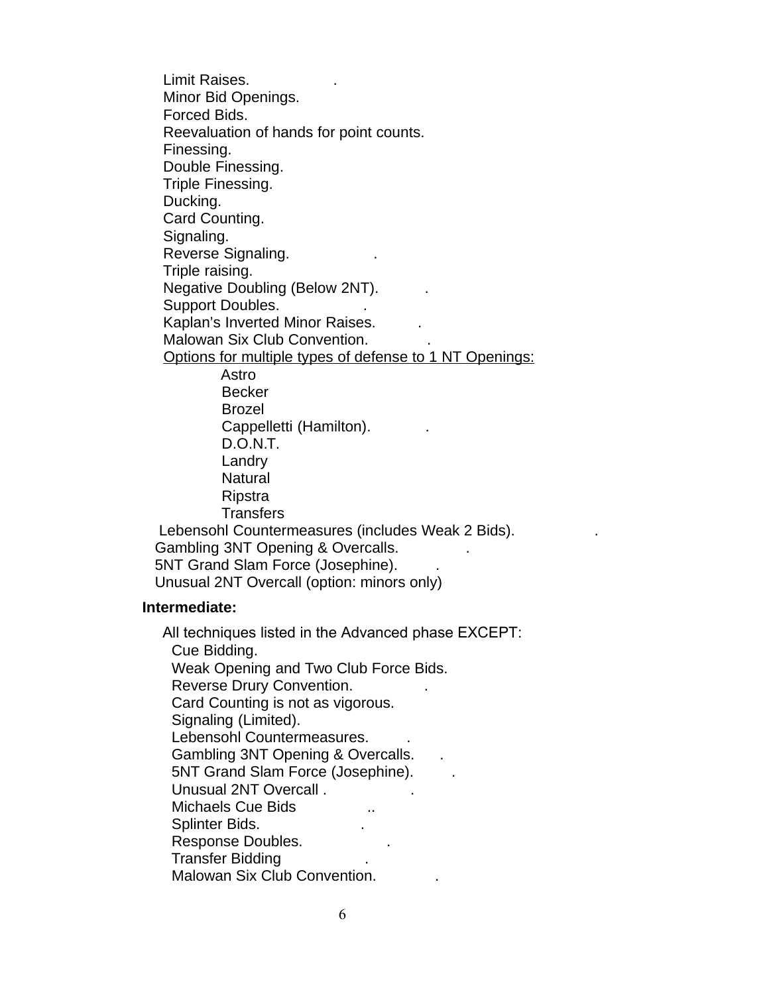Limit Raises. . Minor Bid Openings. Forced Bids. Reevaluation of hands for point counts. Finessing. Double Finessing. Triple Finessing. Ducking. Card Counting. Signaling. Reverse Signaling. . Triple raising. Negative Doubling (Below 2NT). . Support Doubles. Kaplan's Inverted Minor Raises. . Malowan Six Club Convention. . Options for multiple types of defense to 1 NT Openings: Astro Becker Brozel Cappelletti (Hamilton). . D.O.N.T. Landry Natural Ripstra **Transfers**  Lebensohl Countermeasures (includes Weak 2 Bids). . Gambling 3NT Opening & Overcalls. . 5NT Grand Slam Force (Josephine). Unusual 2NT Overcall (option: minors only)

#### **Intermediate:**

 All techniques listed in the Advanced phase EXCEPT: Cue Bidding. Weak Opening and Two Club Force Bids. Reverse Drury Convention. . Card Counting is not as vigorous. Signaling (Limited). Lebensohl Countermeasures. . Gambling 3NT Opening & Overcalls. 5NT Grand Slam Force (Josephine). . Unusual 2NT Overcall . . Michaels Cue Bids ... Splinter Bids. . Response Doubles. **Response** Doubles. Transfer Bidding . Malowan Six Club Convention. .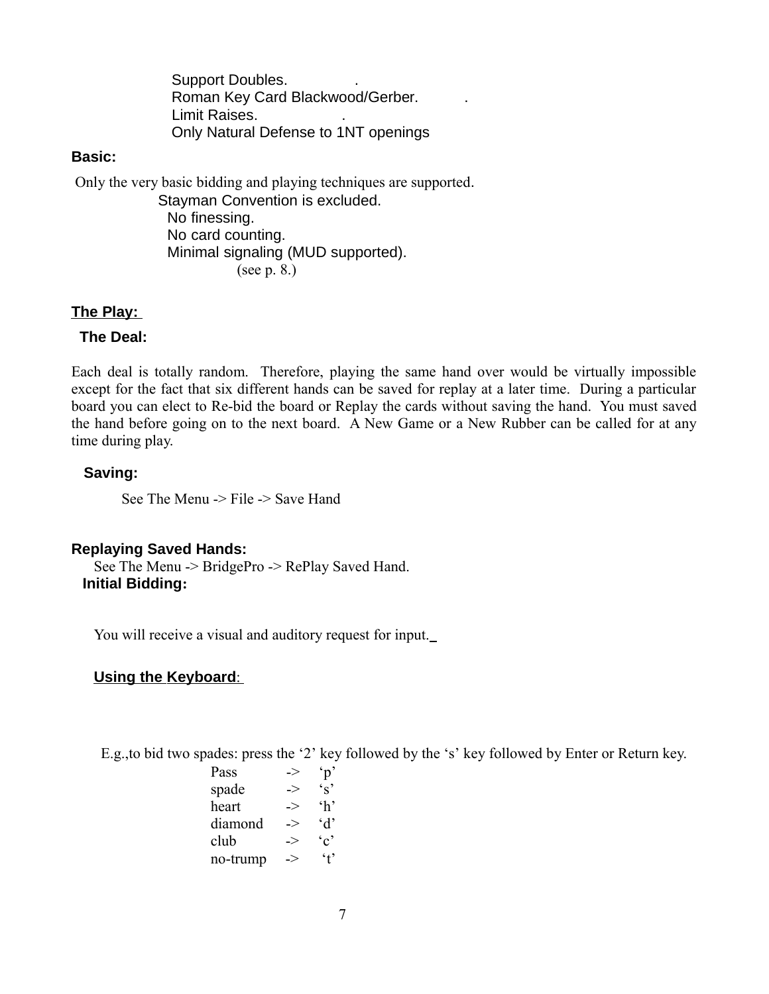Support Doubles. . Roman Key Card Blackwood/Gerber. . Limit Raises. . Only Natural Defense to 1NT openings

#### **Basic:**

Only the very basic bidding and playing techniques are supported.

 Stayman Convention is excluded. No finessing. No card counting. Minimal signaling (MUD supported). (see p. 8.)

### **The Play:**

## **The Deal:**

Each deal is totally random. Therefore, playing the same hand over would be virtually impossible except for the fact that six different hands can be saved for replay at a later time. During a particular board you can elect to Re-bid the board or Replay the cards without saving the hand. You must saved the hand before going on to the next board. A New Game or a New Rubber can be called for at any time during play.

## **Saving:**

See The Menu -> File -> Save Hand

#### **Replaying Saved Hands:**

See The Menu -> BridgePro -> RePlay Saved Hand. **Initial Bidding:** 

You will receive a visual and auditory request for input.

## **Using the Keyboard:**

E.g.,to bid two spades: press the '2' key followed by the 's' key followed by Enter or Return key.

| -> |                 |
|----|-----------------|
| -> | $\mathbf{r}$    |
| -> | $\mathbf{h}$    |
| -> | $\Delta$        |
| -> | $\cdot$ $\circ$ |
|    | $4^{\circ}$     |
|    | ->              |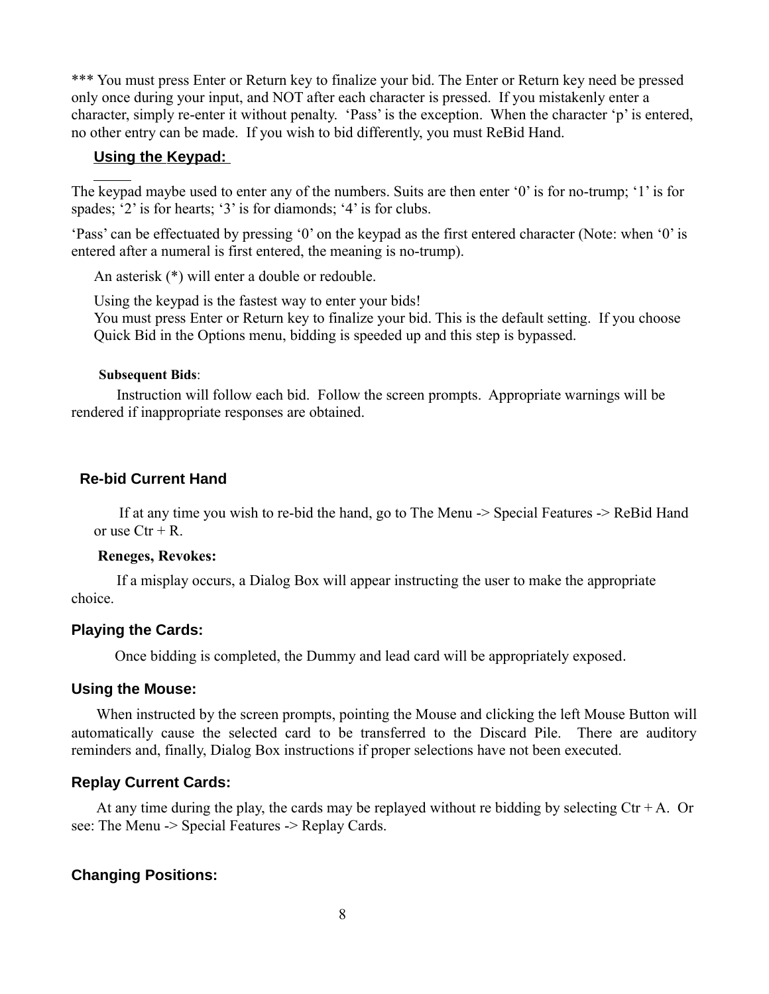\*\*\* You must press Enter or Return key to finalize your bid. The Enter or Return key need be pressed only once during your input, and NOT after each character is pressed. If you mistakenly enter a character, simply re-enter it without penalty. 'Pass' is the exception. When the character 'p' is entered, no other entry can be made. If you wish to bid differently, you must ReBid Hand.

#### **Using the Keypad:**

The keypad maybe used to enter any of the numbers. Suits are then enter '0' is for no-trump; '1' is for spades; '2' is for hearts; '3' is for diamonds; '4' is for clubs.

'Pass' can be effectuated by pressing '0' on the keypad as the first entered character (Note: when '0' is entered after a numeral is first entered, the meaning is no-trump).

An asterisk (\*) will enter a double or redouble.

Using the keypad is the fastest way to enter your bids! You must press Enter or Return key to finalize your bid. This is the default setting. If you choose

Quick Bid in the Options menu, bidding is speeded up and this step is bypassed.

#### **Subsequent Bids**:

 Instruction will follow each bid. Follow the screen prompts. Appropriate warnings will be rendered if inappropriate responses are obtained.

#### **Re-bid Current Hand**

 If at any time you wish to re-bid the hand, go to The Menu -> Special Features -> ReBid Hand or use  $Ctr + R$ .

#### **Reneges, Revokes:**

 If a misplay occurs, a Dialog Box will appear instructing the user to make the appropriate choice.

#### **Playing the Cards:**

Once bidding is completed, the Dummy and lead card will be appropriately exposed.

#### **Using the Mouse:**

 When instructed by the screen prompts, pointing the Mouse and clicking the left Mouse Button will automatically cause the selected card to be transferred to the Discard Pile. There are auditory reminders and, finally, Dialog Box instructions if proper selections have not been executed.

#### **Replay Current Cards:**

At any time during the play, the cards may be replayed without re bidding by selecting  $\rm{Ctr} + A$ . Or see: The Menu -> Special Features -> Replay Cards.

#### **Changing Positions:**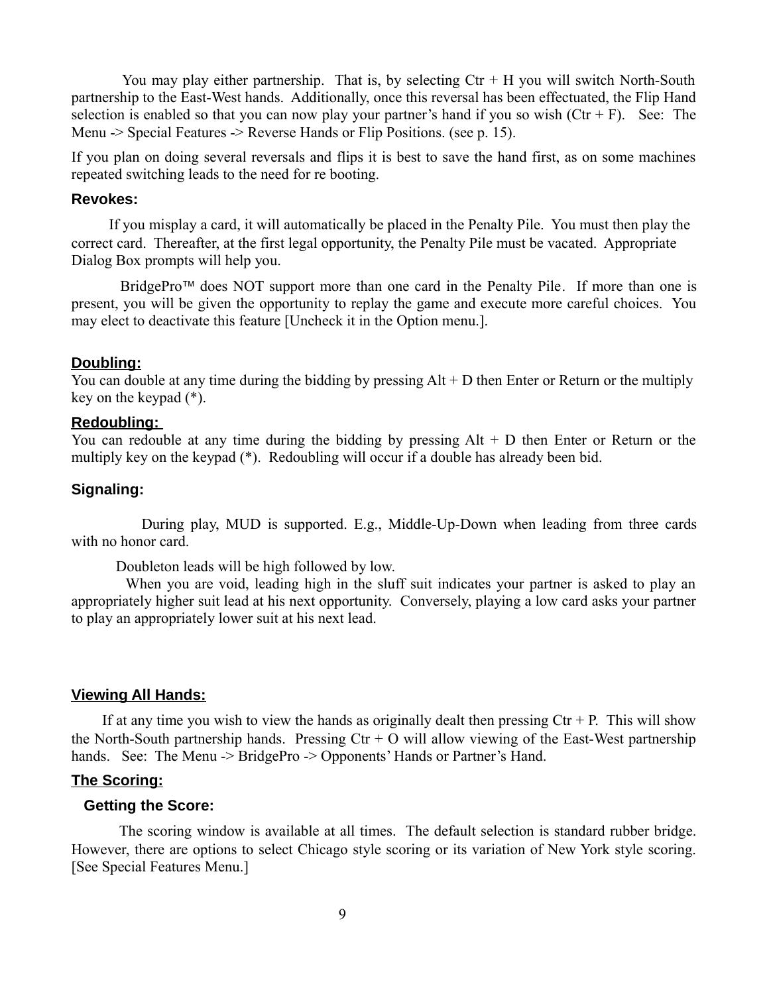You may play either partnership. That is, by selecting  $\mathrm{Ctr} + \mathrm{H}$  you will switch North-South partnership to the East-West hands. Additionally, once this reversal has been effectuated, the Flip Hand selection is enabled so that you can now play your partner's hand if you so wish  $(Ctr + F)$ . See: The Menu -> Special Features -> Reverse Hands or Flip Positions. (see p. 15).

If you plan on doing several reversals and flips it is best to save the hand first, as on some machines repeated switching leads to the need for re booting.

#### **Revokes:**

 If you misplay a card, it will automatically be placed in the Penalty Pile. You must then play the correct card. Thereafter, at the first legal opportunity, the Penalty Pile must be vacated. Appropriate Dialog Box prompts will help you.

BridgePro<sup> $\text{m}$ </sup> does NOT support more than one card in the Penalty Pile. If more than one is present, you will be given the opportunity to replay the game and execute more careful choices. You may elect to deactivate this feature [Uncheck it in the Option menu.].

#### **Doubling:**

You can double at any time during the bidding by pressing Alt + D then Enter or Return or the multiply key on the keypad (\*).

#### **Redoubling:**

You can redouble at any time during the bidding by pressing Alt + D then Enter or Return or the multiply key on the keypad (\*). Redoubling will occur if a double has already been bid.

#### **Signaling:**

 During play, MUD is supported. E.g., Middle-Up-Down when leading from three cards with no honor card.

Doubleton leads will be high followed by low.

 When you are void, leading high in the sluff suit indicates your partner is asked to play an appropriately higher suit lead at his next opportunity. Conversely, playing a low card asks your partner to play an appropriately lower suit at his next lead.

#### **Viewing All Hands:**

If at any time you wish to view the hands as originally dealt then pressing  $\rm Cr + P$ . This will show the North-South partnership hands. Pressing  $Ctr + O$  will allow viewing of the East-West partnership hands. See: The Menu -> BridgePro -> Opponents' Hands or Partner's Hand.

#### **The Scoring:**

#### **Getting the Score:**

 The scoring window is available at all times. The default selection is standard rubber bridge. However, there are options to select Chicago style scoring or its variation of New York style scoring. [See Special Features Menu.]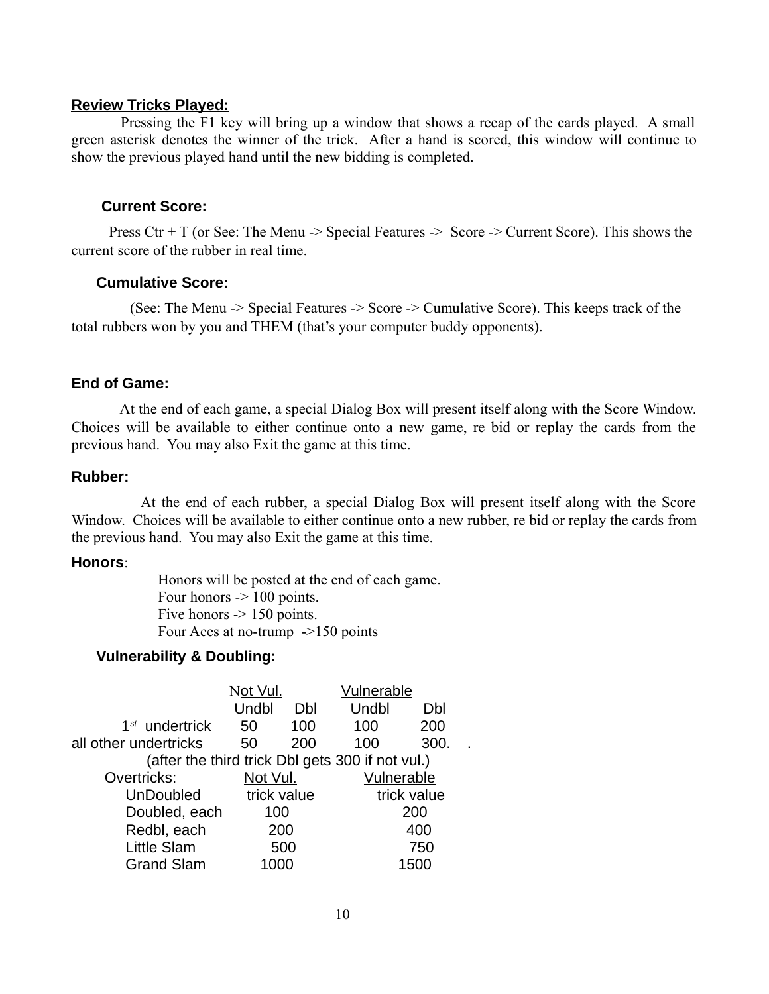#### **Review Tricks Played:**

 Pressing the F1 key will bring up a window that shows a recap of the cards played. A small green asterisk denotes the winner of the trick. After a hand is scored, this window will continue to show the previous played hand until the new bidding is completed.

### **Current Score:**

Press  $\text{Ctr} + \text{T}$  (or See: The Menu -> Special Features -> Score -> Current Score). This shows the current score of the rubber in real time.

#### **Cumulative Score:**

 (See: The Menu -> Special Features -> Score -> Cumulative Score). This keeps track of the total rubbers won by you and THEM (that's your computer buddy opponents).

#### **End of Game:**

 At the end of each game, a special Dialog Box will present itself along with the Score Window. Choices will be available to either continue onto a new game, re bid or replay the cards from the previous hand. You may also Exit the game at this time.

#### **Rubber:**

 At the end of each rubber, a special Dialog Box will present itself along with the Score Window. Choices will be available to either continue onto a new rubber, re bid or replay the cards from the previous hand. You may also Exit the game at this time.

#### **Honors**:

 Honors will be posted at the end of each game. Four honors  $\sim$  100 points. Five honors  $-$  150 points. Four Aces at no-trump ->150 points

#### **Vulnerability & Doubling:**

|                       | Not Vul.    |     | Vulnerable                                       |             |  |
|-----------------------|-------------|-----|--------------------------------------------------|-------------|--|
|                       | Undbl       | Dbl | Undbl                                            | Dbl         |  |
| $1st$ undertrick      | 50          | 100 | 100                                              | 200         |  |
| all other undertricks | 50          | 200 | 100                                              | 300.        |  |
|                       |             |     | (after the third trick Dbl gets 300 if not vul.) |             |  |
| Overtricks:           | Not Vul.    |     | Vulnerable                                       |             |  |
| <b>UnDoubled</b>      | trick value |     |                                                  | trick value |  |
| Doubled, each         | 100         |     |                                                  | 200         |  |
| Redbl, each           | 200         |     |                                                  | 400         |  |
| Little Slam           |             | 500 |                                                  | 750         |  |
| <b>Grand Slam</b>     | 1000        |     |                                                  | 1500        |  |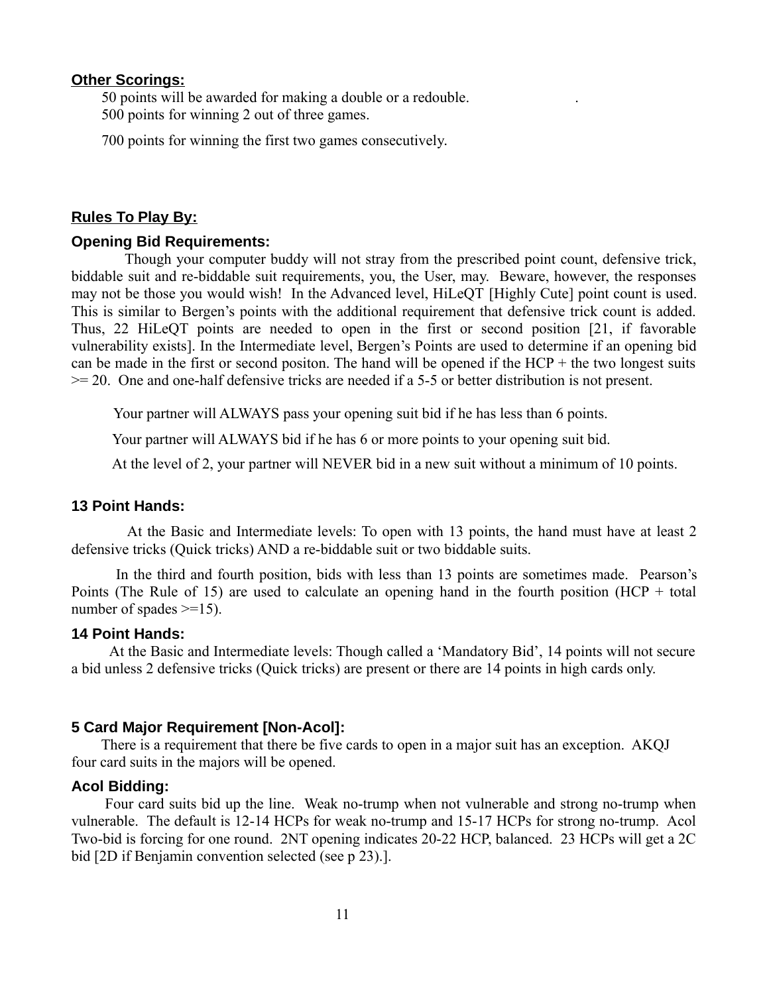#### **Other Scorings:**

 50 points will be awarded for making a double or a redouble. . 500 points for winning 2 out of three games.

700 points for winning the first two games consecutively.

#### **Rules To Play By:**

#### **Opening Bid Requirements:**

 Though your computer buddy will not stray from the prescribed point count, defensive trick, biddable suit and re-biddable suit requirements, you, the User, may. Beware, however, the responses may not be those you would wish! In the Advanced level, HiLeQT [Highly Cute] point count is used. This is similar to Bergen's points with the additional requirement that defensive trick count is added. Thus, 22 HiLeQT points are needed to open in the first or second position [21, if favorable vulnerability exists]. In the Intermediate level, Bergen's Points are used to determine if an opening bid can be made in the first or second positon. The hand will be opened if the  $HCP +$  the two longest suits >= 20. One and one-half defensive tricks are needed if a 5-5 or better distribution is not present.

Your partner will ALWAYS pass your opening suit bid if he has less than 6 points.

Your partner will ALWAYS bid if he has 6 or more points to your opening suit bid.

At the level of 2, your partner will NEVER bid in a new suit without a minimum of 10 points.

#### **13 Point Hands:**

 At the Basic and Intermediate levels: To open with 13 points, the hand must have at least 2 defensive tricks (Quick tricks) AND a re-biddable suit or two biddable suits.

 In the third and fourth position, bids with less than 13 points are sometimes made. Pearson's Points (The Rule of 15) are used to calculate an opening hand in the fourth position (HCP + total number of spades  $\geq 15$ ).

#### **14 Point Hands:**

 At the Basic and Intermediate levels: Though called a 'Mandatory Bid', 14 points will not secure a bid unless 2 defensive tricks (Quick tricks) are present or there are 14 points in high cards only.

#### **5 Card Major Requirement [Non-Acol]:**

 There is a requirement that there be five cards to open in a major suit has an exception. AKQJ four card suits in the majors will be opened.

#### **Acol Bidding:**

 Four card suits bid up the line. Weak no-trump when not vulnerable and strong no-trump when vulnerable. The default is 12-14 HCPs for weak no-trump and 15-17 HCPs for strong no-trump. Acol Two-bid is forcing for one round. 2NT opening indicates 20-22 HCP, balanced. 23 HCPs will get a 2C bid [2D if Benjamin convention selected (see p 23).].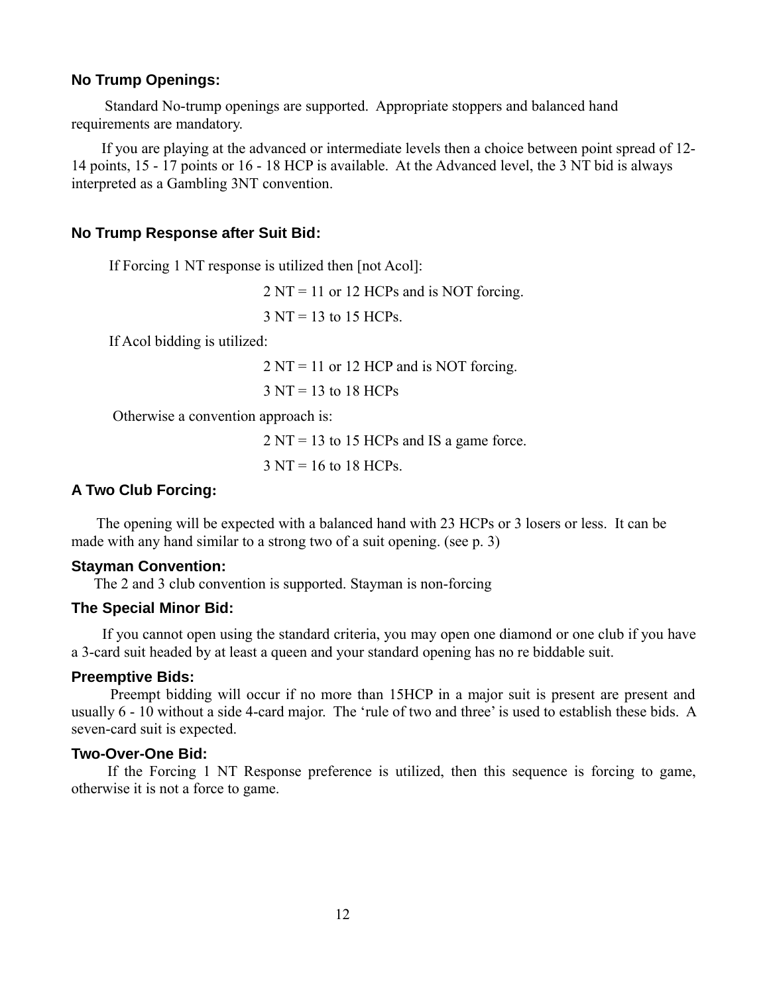#### **No Trump Openings:**

 Standard No-trump openings are supported. Appropriate stoppers and balanced hand requirements are mandatory.

 If you are playing at the advanced or intermediate levels then a choice between point spread of 12- 14 points, 15 - 17 points or 16 - 18 HCP is available. At the Advanced level, the 3 NT bid is always interpreted as a Gambling 3NT convention.

#### **No Trump Response after Suit Bid:**

If Forcing 1 NT response is utilized then [not Acol]:

2 NT = 11 or 12 HCPs and is NOT forcing.

3 NT = 13 to 15 HCPs.

If Acol bidding is utilized:

2 NT = 11 or 12 HCP and is NOT forcing.

3 NT = 13 to 18 HCPs

Otherwise a convention approach is:

2 NT = 13 to 15 HCPs and IS a game force.

 $3 \text{ NT} = 16 \text{ to } 18 \text{ HCPs}$ .

## **A Two Club Forcing:**

 The opening will be expected with a balanced hand with 23 HCPs or 3 losers or less. It can be made with any hand similar to a strong two of a suit opening. (see p. 3)

#### **Stayman Convention:**

The 2 and 3 club convention is supported. Stayman is non-forcing

#### **The Special Minor Bid:**

 If you cannot open using the standard criteria, you may open one diamond or one club if you have a 3-card suit headed by at least a queen and your standard opening has no re biddable suit.

#### **Preemptive Bids:**

 Preempt bidding will occur if no more than 15HCP in a major suit is present are present and usually 6 - 10 without a side 4-card major. The 'rule of two and three' is used to establish these bids. A seven-card suit is expected.

#### **Two-Over-One Bid:**

If the Forcing 1 NT Response preference is utilized, then this sequence is forcing to game, otherwise it is not a force to game.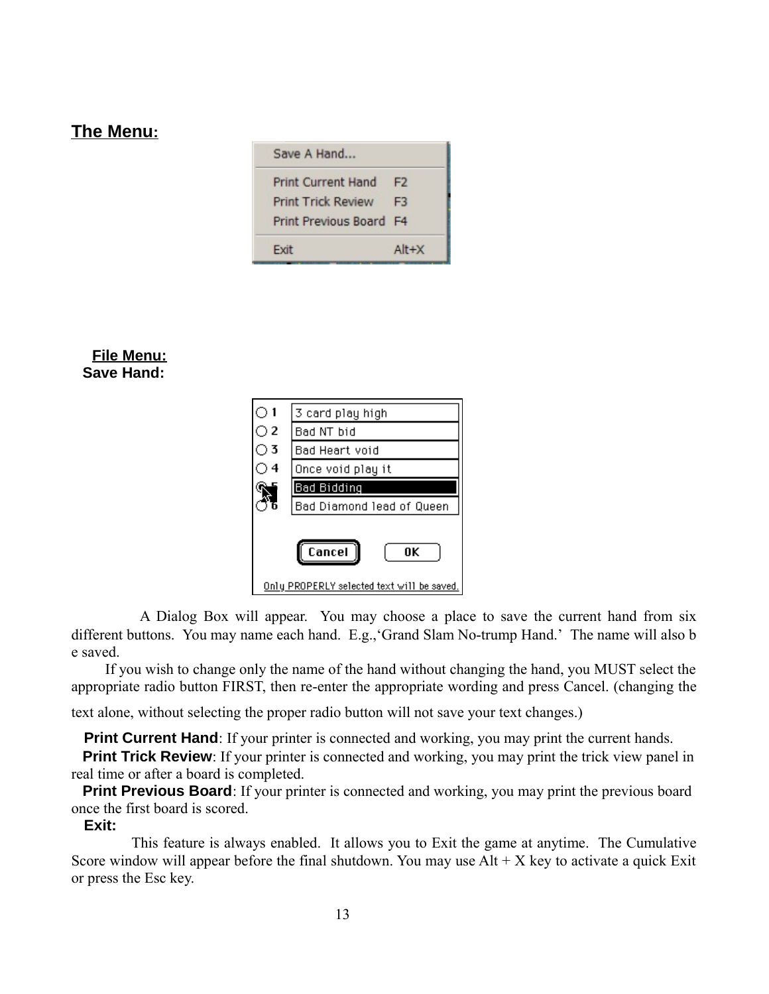## **The Menu:**

| Save A Hand               |                |
|---------------------------|----------------|
| <b>Print Current Hand</b> | F <sub>2</sub> |
| <b>Print Trick Review</b> | F3             |
| Print Previous Board F4   |                |
| <b>Fxit</b>               | $Alt+X$        |

## **File Menu: Save Hand:**

| ் 1 | 3 card play high                           |
|-----|--------------------------------------------|
| ි 2 | Bad NT bid                                 |
| ា 3 | Bad Heart void                             |
| 4   | Once void play it                          |
|     | Bad Bidding                                |
|     | Bad Diamond lead of Queen                  |
|     | Cancel<br>0K                               |
|     | Only PROPERLY selected text will be saved. |

 A Dialog Box will appear. You may choose a place to save the current hand from six different buttons. You may name each hand. E.g.,'Grand Slam No-trump Hand.' The name will also b e saved.

 If you wish to change only the name of the hand without changing the hand, you MUST select the appropriate radio button FIRST, then re-enter the appropriate wording and press Cancel. (changing the

text alone, without selecting the proper radio button will not save your text changes.)

**Print Current Hand**: If your printer is connected and working, you may print the current hands.

**Print Trick Review**: If your printer is connected and working, you may print the trick view panel in real time or after a board is completed.

**Print Previous Board**: If your printer is connected and working, you may print the previous board once the first board is scored.

#### **Exit:**

This feature is always enabled. It allows you to Exit the game at anytime. The Cumulative Score window will appear before the final shutdown. You may use  $Alt + X$  key to activate a quick Exit or press the Esc key.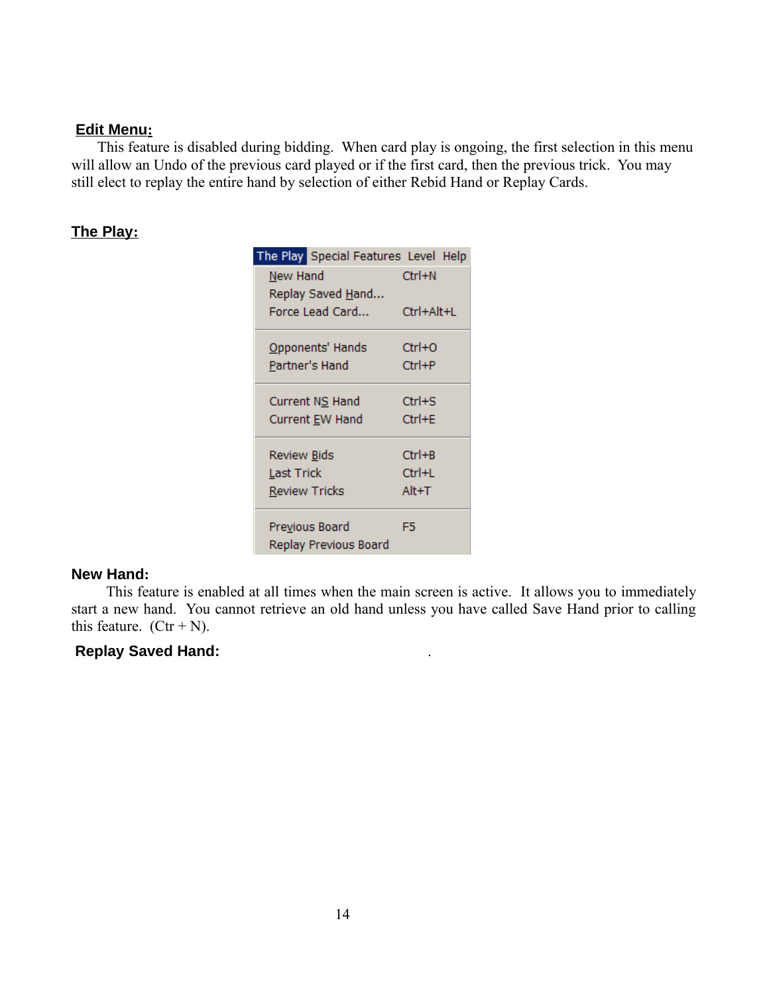#### **Edit Menu:**

 This feature is disabled during bidding. When card play is ongoing, the first selection in this menu will allow an Undo of the previous card played or if the first card, then the previous trick. You may still elect to replay the entire hand by selection of either Rebid Hand or Replay Cards.

## **The Play:**

| The Play Special Features Level Help |            |
|--------------------------------------|------------|
| New Hand                             | $Ctrl + N$ |
| Replay Saved Hand                    |            |
| Force Lead Card                      | Ctrl+Alt+L |
| Opponents' Hands                     | Ctrl+O     |
| Partner's Hand                       | Ctrl+P     |
| Current NS Hand                      | Ctrl+S     |
| Current EW Hand                      | Ctrl+E     |
| Review <u>B</u> ids                  | $Ctrl + B$ |
| Last Trick                           | Ctrl+L     |
| <b>Review Tricks</b>                 | Alt+T      |
| Previous Board                       | F5         |
| Replay Previous Board                |            |

#### **New Hand:**

 This feature is enabled at all times when the main screen is active. It allows you to immediately start a new hand. You cannot retrieve an old hand unless you have called Save Hand prior to calling this feature.  $(Ctr + N)$ .

## **Replay Saved Hand:** .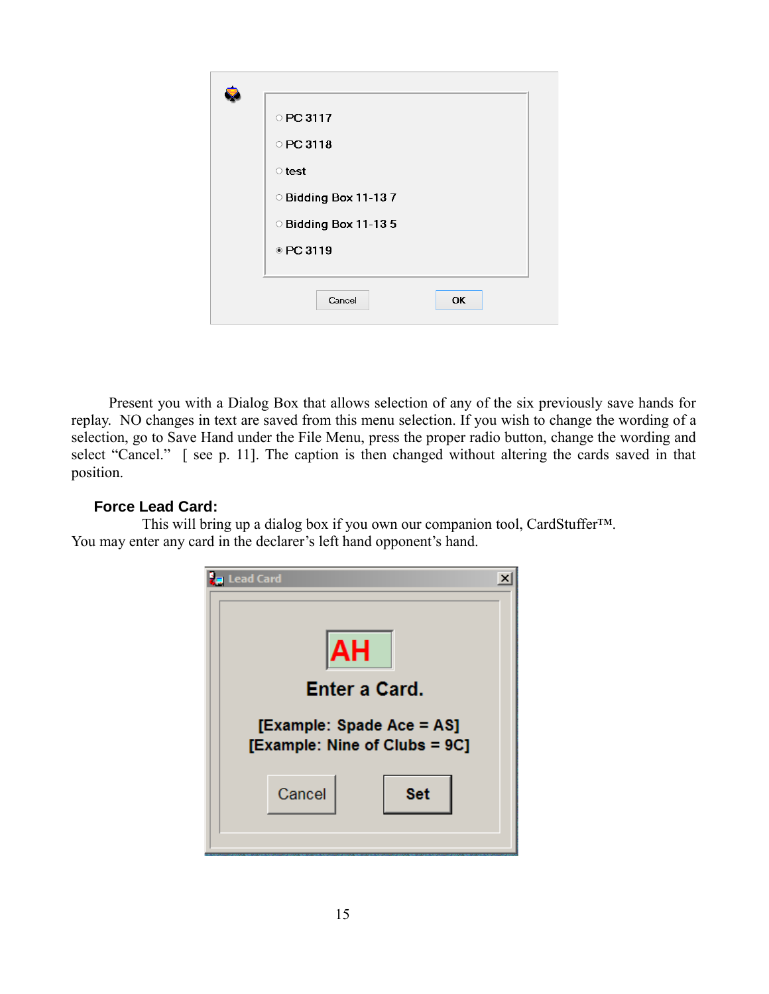| O PC 3117             |
|-----------------------|
| ○ PC 3118             |
| $\circ$ test          |
| O Bidding Box 11-137  |
| O Bidding Box 11-13 5 |
| ● PC 3119             |
|                       |
| Cancel<br><b>OK</b>   |
|                       |

 Present you with a Dialog Box that allows selection of any of the six previously save hands for replay. NO changes in text are saved from this menu selection. If you wish to change the wording of a selection, go to Save Hand under the File Menu, press the proper radio button, change the wording and select "Cancel." [see p. 11]. The caption is then changed without altering the cards saved in that position.

## **Force Lead Card:**

 This will bring up a dialog box if you own our companion tool, CardStuffer™. You may enter any card in the declarer's left hand opponent's hand.

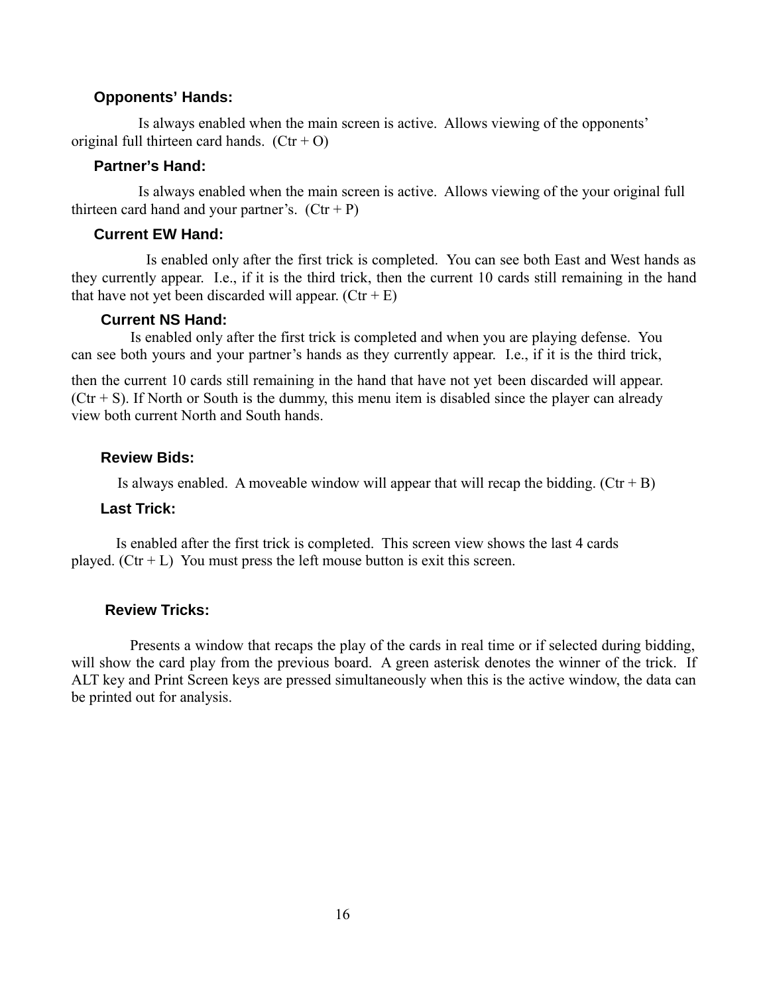#### **Opponents' Hands:**

 Is always enabled when the main screen is active. Allows viewing of the opponents' original full thirteen card hands.  $(Ctr + O)$ 

## **Partner's Hand:**

 Is always enabled when the main screen is active. Allows viewing of the your original full thirteen card hand and your partner's.  $(Ctr + P)$ 

### **Current EW Hand:**

 Is enabled only after the first trick is completed. You can see both East and West hands as they currently appear. I.e., if it is the third trick, then the current 10 cards still remaining in the hand that have not yet been discarded will appear.  $(Ctr + E)$ 

#### **Current NS Hand:**

 Is enabled only after the first trick is completed and when you are playing defense. You can see both yours and your partner's hands as they currently appear. I.e., if it is the third trick,

then the current 10 cards still remaining in the hand that have not yet been discarded will appear.  $(Ctr + S)$ . If North or South is the dummy, this menu item is disabled since the player can already view both current North and South hands.

#### **Review Bids:**

Is always enabled. A moveable window will appear that will recap the bidding.  $(Ctr + B)$ 

#### **Last Trick:**

Is enabled after the first trick is completed. This screen view shows the last 4 cards played.  $(Ctr + L)$  You must press the left mouse button is exit this screen.

#### **Review Tricks:**

 Presents a window that recaps the play of the cards in real time or if selected during bidding, will show the card play from the previous board. A green asterisk denotes the winner of the trick. If ALT key and Print Screen keys are pressed simultaneously when this is the active window, the data can be printed out for analysis.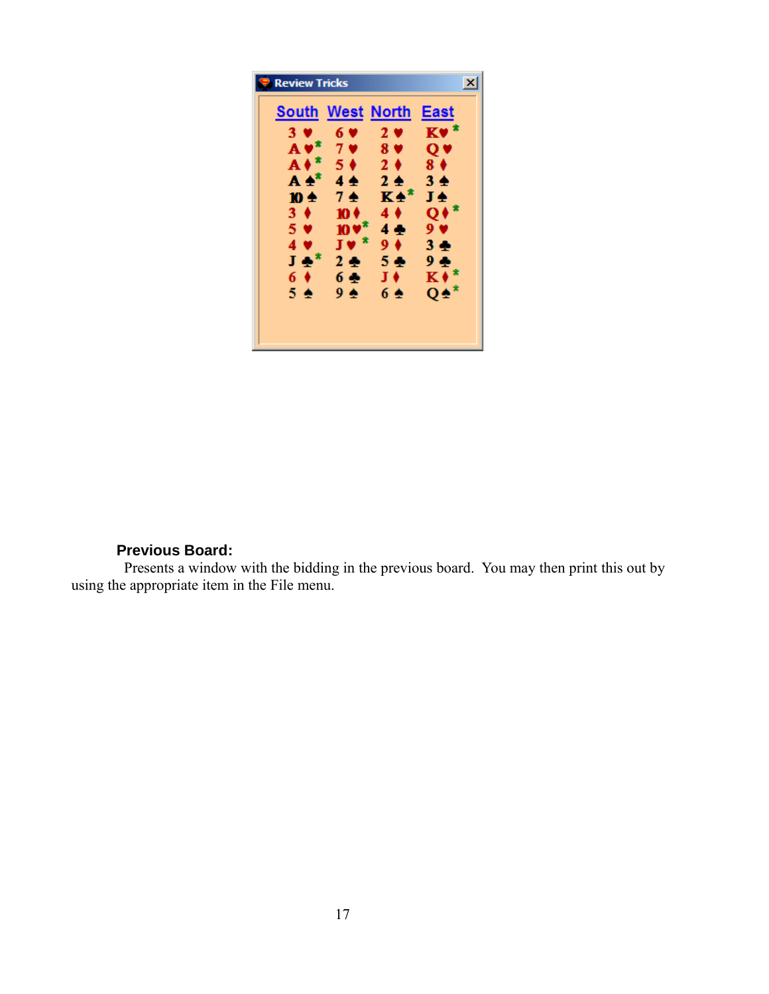| <b>Review Tricks</b>    |                     |                | ×               |
|-------------------------|---------------------|----------------|-----------------|
| <b>South West North</b> |                     |                | East            |
| 3 <sub>9</sub>          | 6 ♥                 | 2 <sub>0</sub> | $Kv^*$          |
| $A \vee^*$              | 7 <sub>•</sub>      | 8 <sub>9</sub> | Q V             |
| $A*$                    | $5^{\circ}$         | 2 <sub>0</sub> | 8 <sub>0</sub>  |
| $A \triangleq$ *        | 4全                  | $2 \triangle$  | 34              |
| 10 ±                    | 7至                  | K4*            | J÷              |
| $3 \bullet$             | 10 ♦                | $4 \bullet$    | $Q*^*$          |
| $5 \vee$                | $10V^*$             | 4全             | 9 <sub>v</sub>  |
| 4 <sub>9</sub>          | J♥*                 | $9+$           | 3 <sub>2</sub>  |
| $J \Phi^*$              | 2 <sup>4</sup>      | 5 ÷            | 9 全             |
| $6 \bullet$             | 6 全                 | J♦             | $K^*$           |
| 54                      | $9 \Leftrightarrow$ | 6 ≙            | $Q\spadesuit^*$ |
|                         |                     |                |                 |
|                         |                     |                |                 |

## **Previous Board:**

 Presents a window with the bidding in the previous board. You may then print this out by using the appropriate item in the File menu.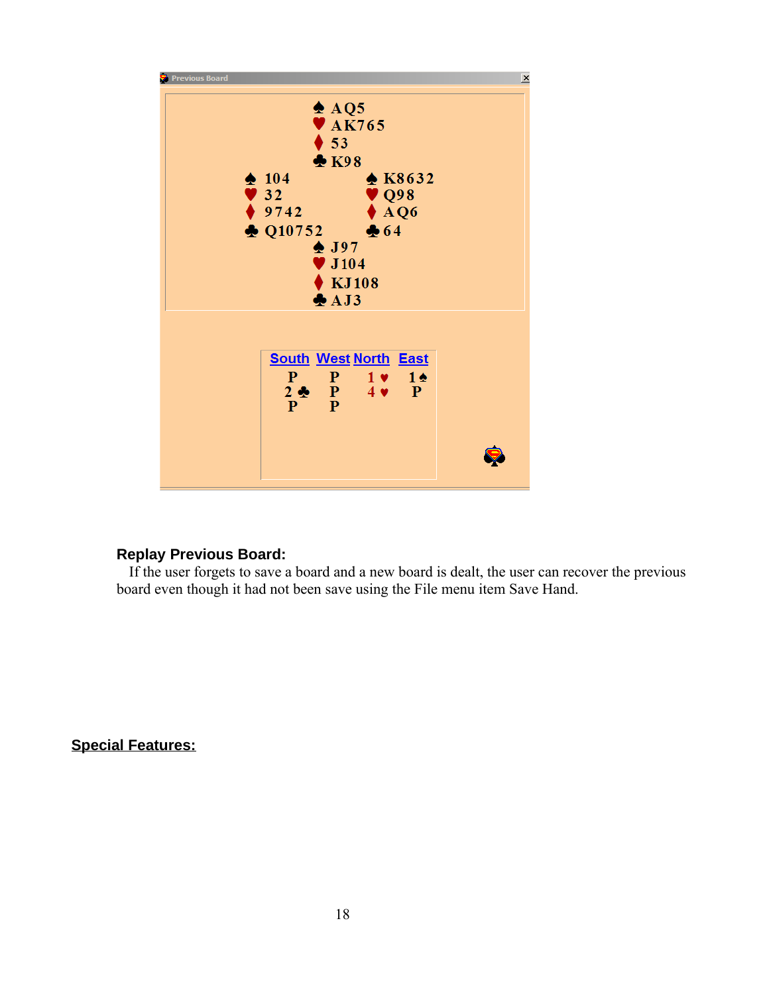

## **Replay Previous Board:**

If the user forgets to save a board and a new board is dealt, the user can recover the previous board even though it had not been save using the File menu item Save Hand.

**Special Features:**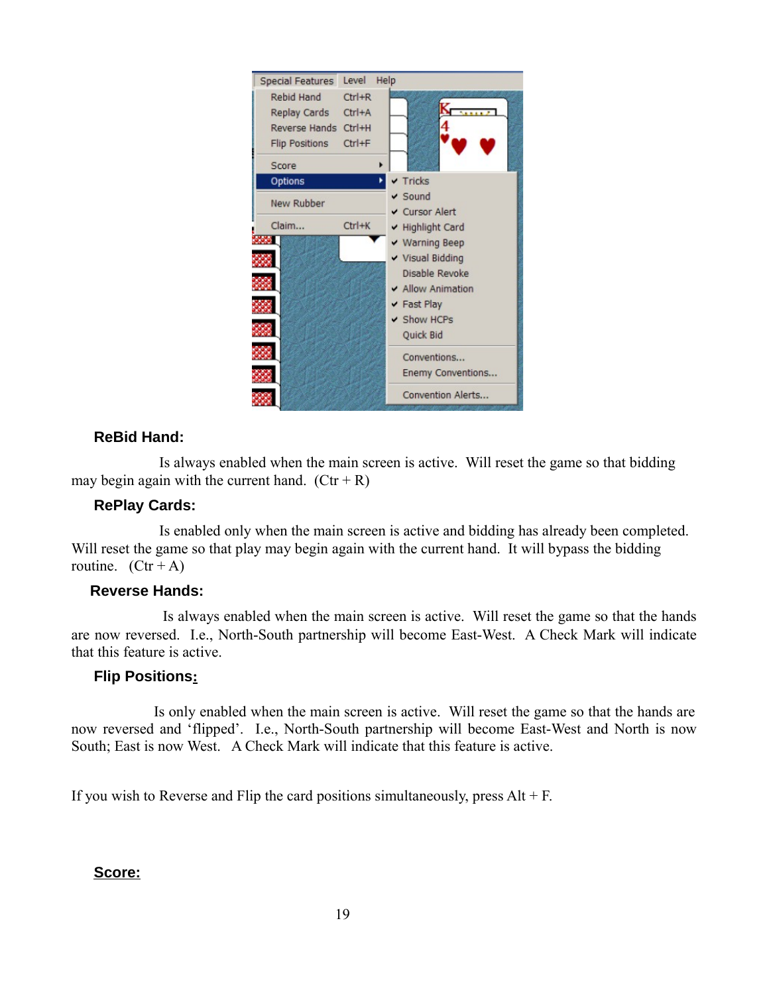

## **ReBid Hand:**

 Is always enabled when the main screen is active. Will reset the game so that bidding may begin again with the current hand.  $(Ctr + R)$ 

## **RePlay Cards:**

 Is enabled only when the main screen is active and bidding has already been completed. Will reset the game so that play may begin again with the current hand. It will bypass the bidding routine.  $(Ctr + A)$ 

## **Reverse Hands:**

 Is always enabled when the main screen is active. Will reset the game so that the hands are now reversed. I.e., North-South partnership will become East-West. A Check Mark will indicate that this feature is active.

## **Flip Positions:**

 Is only enabled when the main screen is active. Will reset the game so that the hands are now reversed and 'flipped'. I.e., North-South partnership will become East-West and North is now South; East is now West. A Check Mark will indicate that this feature is active.

If you wish to Reverse and Flip the card positions simultaneously, press  $Alt + F$ .

 **Score:**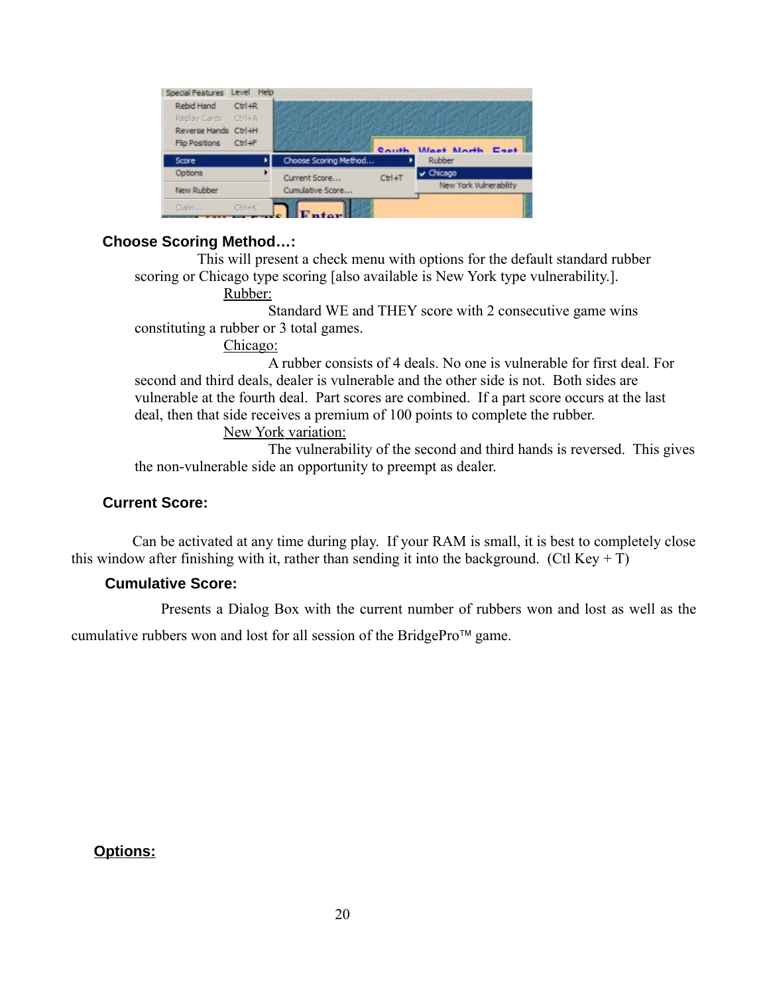| Reverse Hands Ctrl+H<br>Ctrl+F<br>Filip Positions |                       | $R_{\text{Al}} + h$ |                        |
|---------------------------------------------------|-----------------------|---------------------|------------------------|
|                                                   |                       |                     | Wast North East        |
| Score                                             | Choose Scoring Method |                     | Rubber                 |
| Options                                           | Current Score         | Ctrl+T              | v Chicago              |
| New Rubber                                        | Cumulative Score      |                     | New York Vulnerability |

## **Choose Scoring Method…:**

This will present a check menu with options for the default standard rubber scoring or Chicago type scoring [also available is New York type vulnerability.].

Rubber:

Standard WE and THEY score with 2 consecutive game wins constituting a rubber or 3 total games.

Chicago:

A rubber consists of 4 deals. No one is vulnerable for first deal. For second and third deals, dealer is vulnerable and the other side is not. Both sides are vulnerable at the fourth deal. Part scores are combined. If a part score occurs at the last deal, then that side receives a premium of 100 points to complete the rubber.

New York variation:

The vulnerability of the second and third hands is reversed. This gives the non-vulnerable side an opportunity to preempt as dealer.

## **Current Score:**

 Can be activated at any time during play. If your RAM is small, it is best to completely close this window after finishing with it, rather than sending it into the background. (Ctl Key  $+$  T)

## **Cumulative Score:**

Presents a Dialog Box with the current number of rubbers won and lost as well as the

cumulative rubbers won and lost for all session of the BridgePro<sup> $\text{TM}$ </sup> game.

**Options:**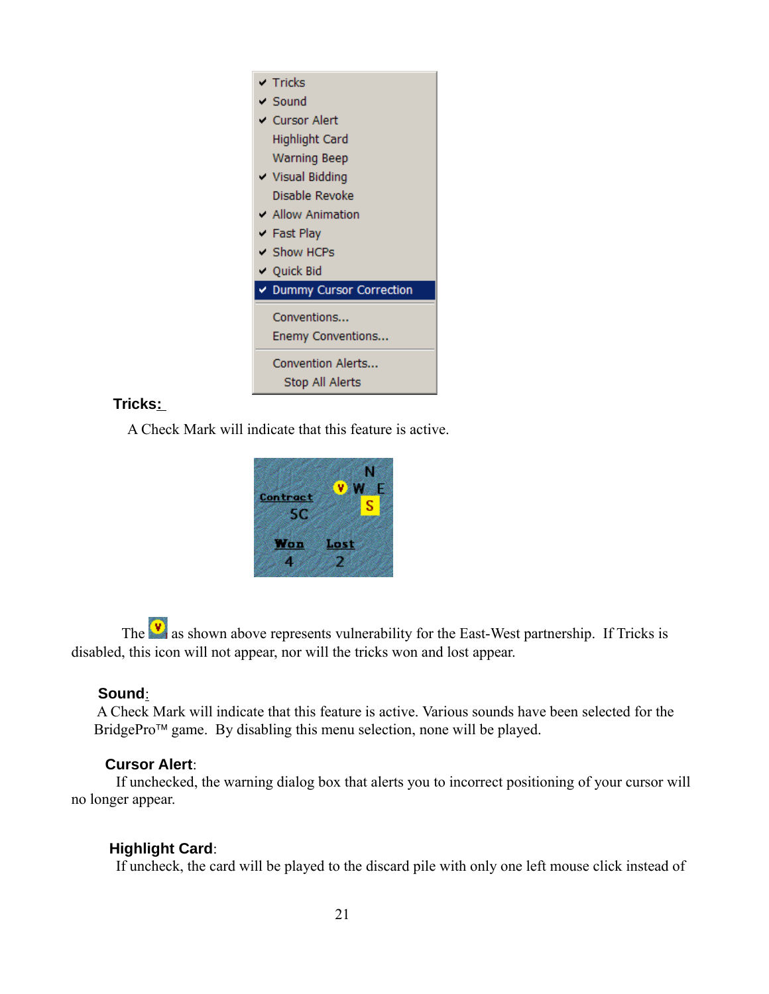

## **Tricks :**

A Check Mark will indicate that this feature is active.



The  $\mathbf{v}$  as shown above represents vulnerability for the East-West partnership. If Tricks is disabled, this icon will not appear, nor will the tricks won and lost appear.

## **Sound**:

 A Check Mark will indicate that this feature is active. Various sounds have been selected for the BridgePro<sup> $\mathsf{m}$ </sup> game. By disabling this menu selection, none will be played.

## **Cursor Alert**:

If unchecked, the warning dialog box that alerts you to incorrect positioning of your cursor will no longer appear.

## **Highlight Card**:

If uncheck, the card will be played to the discard pile with only one left mouse click instead of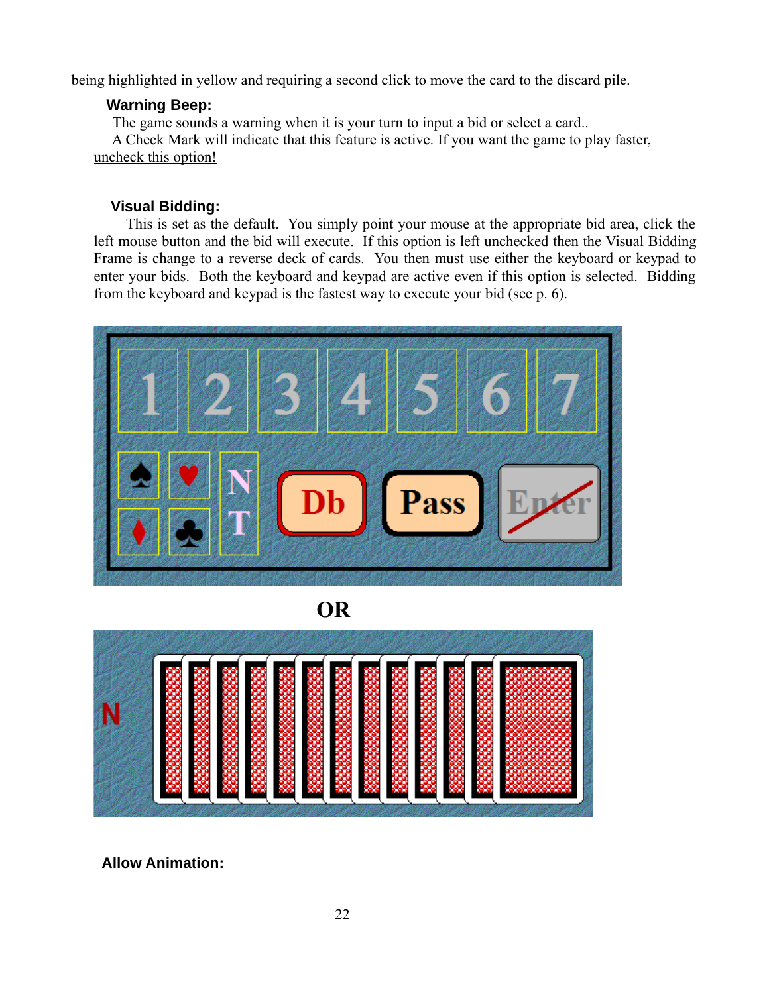being highlighted in yellow and requiring a second click to move the card to the discard pile.

## **Warning Beep:**

The game sounds a warning when it is your turn to input a bid or select a card..

 A Check Mark will indicate that this feature is active. If you want the game to play faster, uncheck this option!

## **Visual Bidding:**

 This is set as the default. You simply point your mouse at the appropriate bid area, click the left mouse button and the bid will execute. If this option is left unchecked then the Visual Bidding Frame is change to a reverse deck of cards. You then must use either the keyboard or keypad to enter your bids. Both the keyboard and keypad are active even if this option is selected. Bidding from the keyboard and keypad is the fastest way to execute your bid (see p. 6).



**OR**



 **Allow Animation:**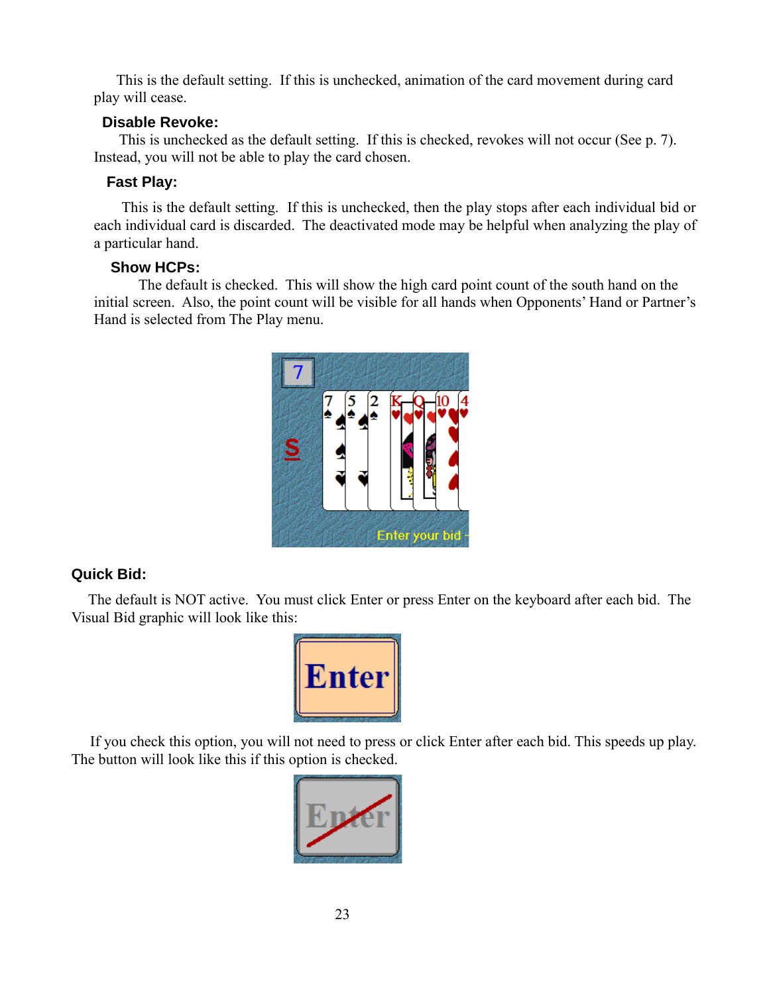This is the default setting. If this is unchecked, animation of the card movement during card play will cease.

## **Disable Revoke:**

This is unchecked as the default setting. If this is checked, revokes will not occur (See p. 7). Instead, you will not be able to play the card chosen.

## **Fast Play:**

 This is the default setting. If this is unchecked, then the play stops after each individual bid or each individual card is discarded. The deactivated mode may be helpful when analyzing the play of a particular hand.

## **Show HCPs:**

The default is checked. This will show the high card point count of the south hand on the initial screen. Also, the point count will be visible for all hands when Opponents' Hand or Partner's Hand is selected from The Play menu.



## **Quick Bid:**

 The default is NOT active. You must click Enter or press Enter on the keyboard after each bid. The Visual Bid graphic will look like this:



 If you check this option, you will not need to press or click Enter after each bid. This speeds up play. The button will look like this if this option is checked.

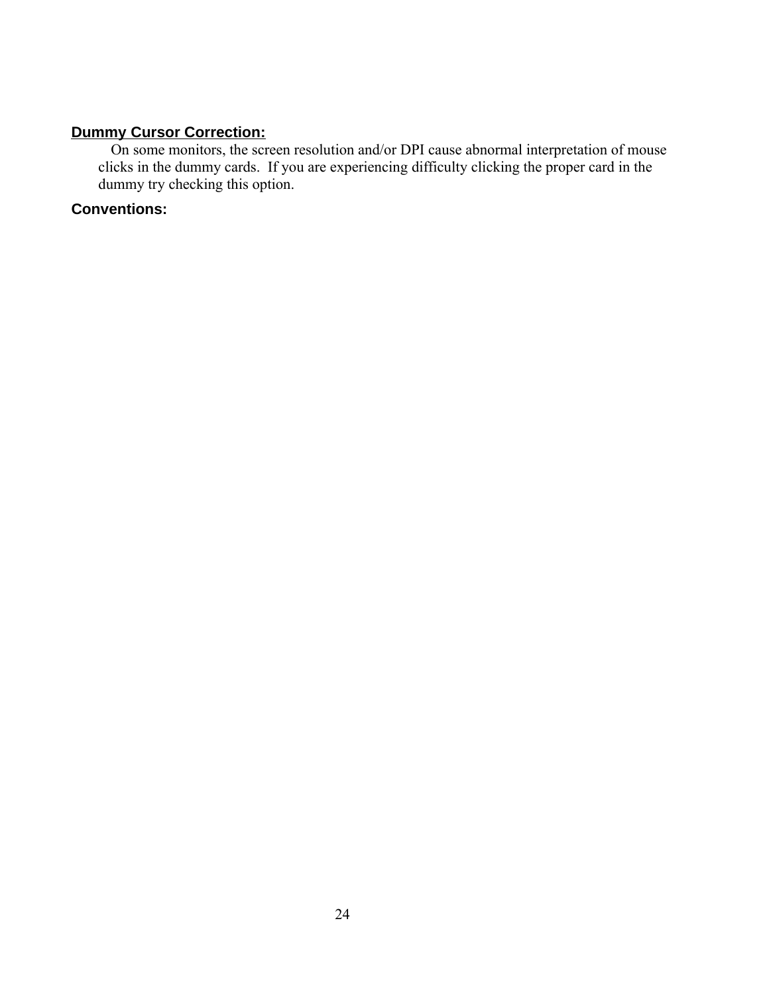## **Dummy Cursor Correction:**

On some monitors, the screen resolution and/or DPI cause abnormal interpretation of mouse clicks in the dummy cards. If you are experiencing difficulty clicking the proper card in the dummy try checking this option.

## **Conventions:**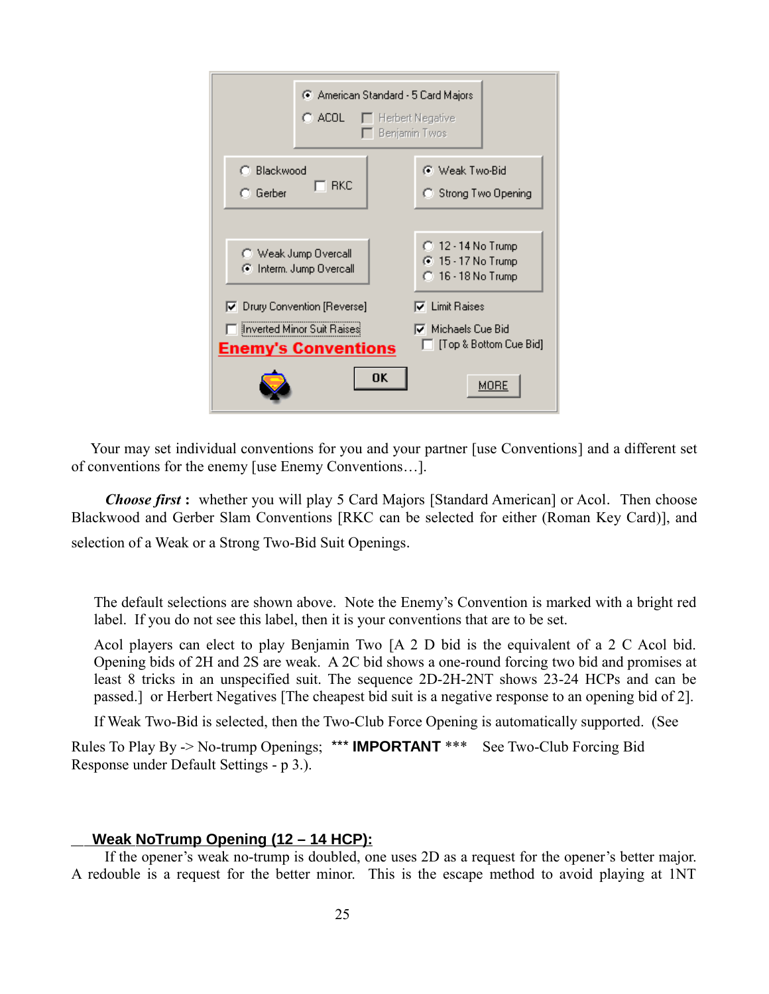| American Standard - 5 Card Majors<br>C ACOL -<br>$\Box$ Herbert Negative<br>Benjamin Twos |                                                                                |
|-------------------------------------------------------------------------------------------|--------------------------------------------------------------------------------|
| C Blackwood<br>-RKC<br>$C$ Gerber                                                         | <b>C</b> Weak Two-Bid<br>C Strong Two Opening                                  |
| Neak Jump Overcall<br>C Interm. Jump Overcall                                             | C 12 - 14 No Trump<br><b>⊙</b> 15 - 17 No Trump<br>C 16 - 18 No Trump          |
| Ⅳ Drury Convention [Reverse]<br>Inverted Minor Suit Raises<br><b>Enemy's Conventions</b>  | $\nabla$ Limit Raises<br>$\nabla$ Michaels Cue Bid<br>□ [Top & Bottom Cue Bid] |
| OK                                                                                        | MORE                                                                           |

 Your may set individual conventions for you and your partner [use Conventions] and a different set of conventions for the enemy [use Enemy Conventions…].

 *Choose first* **:** whether you will play 5 Card Majors [Standard American] or Acol. Then choose Blackwood and Gerber Slam Conventions [RKC can be selected for either (Roman Key Card)], and selection of a Weak or a Strong Two-Bid Suit Openings.

The default selections are shown above. Note the Enemy's Convention is marked with a bright red label. If you do not see this label, then it is your conventions that are to be set.

Acol players can elect to play Benjamin Two [A 2 D bid is the equivalent of a 2 C Acol bid. Opening bids of 2H and 2S are weak. A 2C bid shows a one-round forcing two bid and promises at least 8 tricks in an unspecified suit. The sequence 2D-2H-2NT shows 23-24 HCPs and can be passed.] or Herbert Negatives [The cheapest bid suit is a negative response to an opening bid of 2].

If Weak Two-Bid is selected, then the Two-Club Force Opening is automatically supported. (See

Rules To Play By -> No-trump Openings; \*\*\* **IMPORTANT** \*\*\* See Two-Club Forcing Bid Response under Default Settings - p 3.).

## **Weak NoTrump Opening (12 – 14 HCP):**

 If the opener's weak no-trump is doubled, one uses 2D as a request for the opener's better major. A redouble is a request for the better minor. This is the escape method to avoid playing at 1NT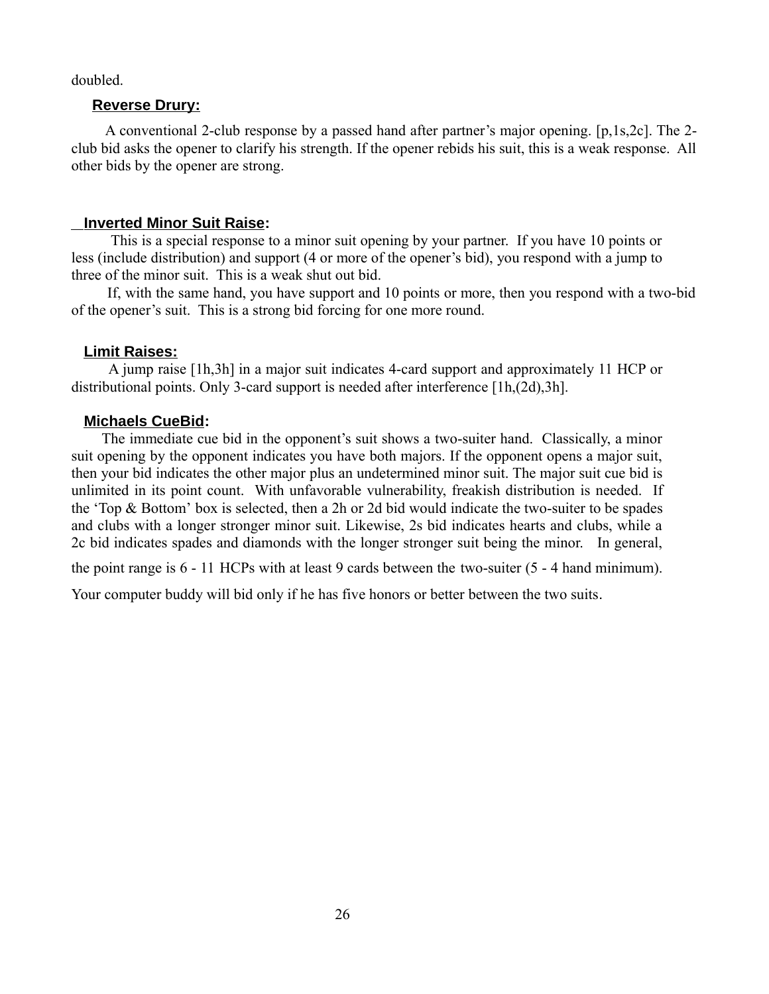doubled.

#### **Reverse Drury:**

 A conventional 2-club response by a passed hand after partner's major opening. [p,1s,2c]. The 2 club bid asks the opener to clarify his strength. If the opener rebids his suit, this is a weak response. All other bids by the opener are strong.

#### **Inverted Minor Suit Raise:**

 This is a special response to a minor suit opening by your partner. If you have 10 points or less (include distribution) and support (4 or more of the opener's bid), you respond with a jump to three of the minor suit. This is a weak shut out bid.

 If, with the same hand, you have support and 10 points or more, then you respond with a two-bid of the opener's suit. This is a strong bid forcing for one more round.

#### **Limit Raises :**

A jump raise [1h,3h] in a major suit indicates 4-card support and approximately 11 HCP or distributional points. Only 3-card support is needed after interference [1h,(2d),3h].

#### **Michaels CueBid:**

 The immediate cue bid in the opponent's suit shows a two-suiter hand. Classically, a minor suit opening by the opponent indicates you have both majors. If the opponent opens a major suit, then your bid indicates the other major plus an undetermined minor suit. The major suit cue bid is unlimited in its point count. With unfavorable vulnerability, freakish distribution is needed. If the 'Top & Bottom' box is selected, then a 2h or 2d bid would indicate the two-suiter to be spades and clubs with a longer stronger minor suit. Likewise, 2s bid indicates hearts and clubs, while a 2c bid indicates spades and diamonds with the longer stronger suit being the minor. In general,

the point range is 6 - 11 HCPs with at least 9 cards between the two-suiter (5 - 4 hand minimum).

Your computer buddy will bid only if he has five honors or better between the two suits.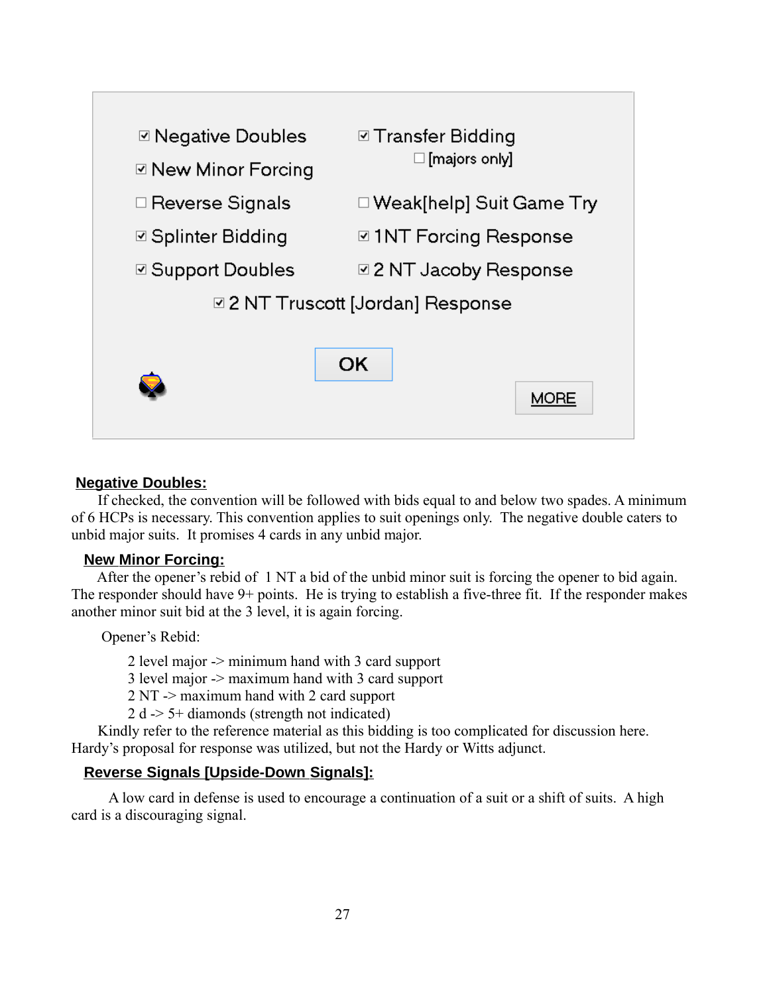

#### **Negative Doubles:**

 If checked, the convention will be followed with bids equal to and below two spades. A minimum of 6 HCPs is necessary. This convention applies to suit openings only. The negative double caters to unbid major suits. It promises 4 cards in any unbid major.

## **New Minor Forcing:**

 After the opener's rebid of 1 NT a bid of the unbid minor suit is forcing the opener to bid again. The responder should have 9+ points. He is trying to establish a five-three fit. If the responder makes another minor suit bid at the 3 level, it is again forcing.

Opener's Rebid:

2 level major -> minimum hand with 3 card support

3 level major -> maximum hand with 3 card support

2 NT -> maximum hand with 2 card support

2 d -> 5+ diamonds (strength not indicated)

 Kindly refer to the reference material as this bidding is too complicated for discussion here. Hardy's proposal for response was utilized, but not the Hardy or Witts adjunct.

## **Reverse Signals [Upside-Down Signals ]:**

A low card in defense is used to encourage a continuation of a suit or a shift of suits. A high card is a discouraging signal.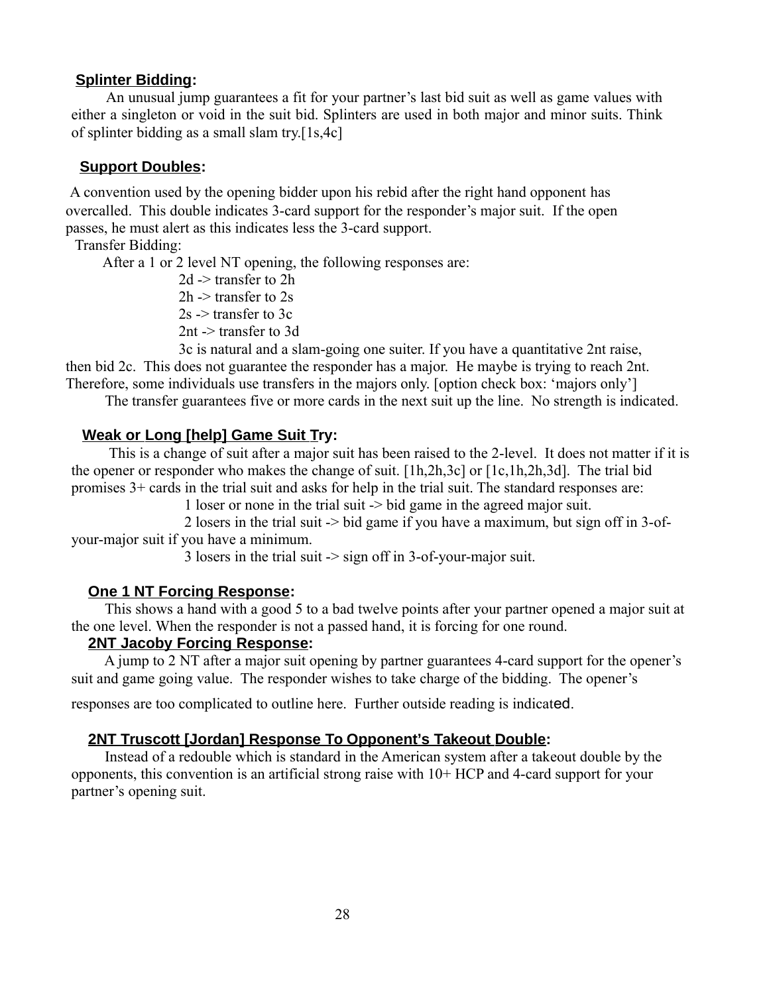#### **Splinter Bidding:**

 An unusual jump guarantees a fit for your partner's last bid suit as well as game values with either a singleton or void in the suit bid. Splinters are used in both major and minor suits. Think of splinter bidding as a small slam try.[1s,4c]

#### **Support Doubles:**

A convention used by the opening bidder upon his rebid after the right hand opponent has overcalled. This double indicates 3-card support for the responder's major suit. If the open passes, he must alert as this indicates less the 3-card support.

## Transfer Bidding:

After a 1 or 2 level NT opening, the following responses are:

 2d -> transfer to 2h 2h -> transfer to 2s  $2s \geq$  transfer to 3c 2nt -> transfer to 3d

 3c is natural and a slam-going one suiter. If you have a quantitative 2nt raise, then bid 2c. This does not guarantee the responder has a major. He maybe is trying to reach 2nt. Therefore, some individuals use transfers in the majors only. [option check box: 'majors only']

The transfer guarantees five or more cards in the next suit up the line. No strength is indicated.

#### **Weak or Long [help] Game Suit Try:**

This is a change of suit after a major suit has been raised to the 2-level. It does not matter if it is the opener or responder who makes the change of suit. [1h,2h,3c] or [1c,1h,2h,3d]. The trial bid promises 3+ cards in the trial suit and asks for help in the trial suit. The standard responses are:

1 loser or none in the trial suit -> bid game in the agreed major suit.

 2 losers in the trial suit -> bid game if you have a maximum, but sign off in 3-ofyour-major suit if you have a minimum.

3 losers in the trial suit -> sign off in 3-of-your-major suit.

#### **One 1 NT Forcing Response:**

This shows a hand with a good 5 to a bad twelve points after your partner opened a major suit at the one level. When the responder is not a passed hand, it is forcing for one round.

#### **2NT Jacoby Forcing Response:**

A jump to 2 NT after a major suit opening by partner guarantees 4-card support for the opener's suit and game going value. The responder wishes to take charge of the bidding. The opener's

responses are too complicated to outline here. Further outside reading is indicated.

#### **2NT Truscott [Jordan] Response To Opponent's Takeout Double:**

Instead of a redouble which is standard in the American system after a takeout double by the opponents, this convention is an artificial strong raise with 10+ HCP and 4-card support for your partner's opening suit.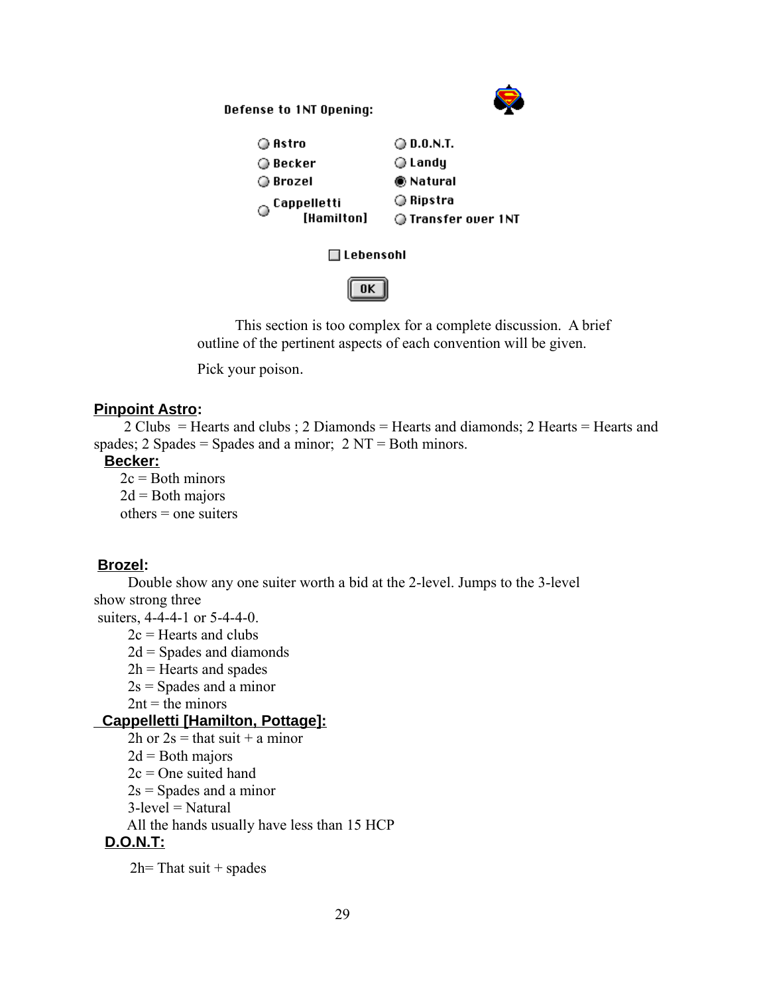Defense to 1NT Opening:



| ◎ Astro                    | ◯ 0.0.N.T.          |
|----------------------------|---------------------|
| ◎ Becker                   | ⊜ Landy             |
| ◯ Brozel                   | <b>● Natural</b>    |
| $\circledcirc$ Cappelletti | ⊙ Ripstra           |
| [Hamilton]                 | ◯ Transfer over 1NT |
|                            |                     |

#### □ Lebensohl



 This section is too complex for a complete discussion. A brief outline of the pertinent aspects of each convention will be given.

Pick your poison.

## **Pinpoint Astro:**

2 Clubs = Hearts and clubs ; 2 Diamonds = Hearts and diamonds; 2 Hearts = Hearts and spades; 2 Spades = Spades and a minor;  $2 NT = Both minors$ .

## **Becker:**

 $2c =$ Both minors  $2d =$ Both majors  $others = one$  suiters

## **Brozel:**

 Double show any one suiter worth a bid at the 2-level. Jumps to the 3-level show strong three

suiters, 4-4-4-1 or 5-4-4-0.

 $2c$  = Hearts and clubs

 $2d =$  Spades and diamonds

 $2h$  = Hearts and spades

 $2s =$ Spades and a minor

 $2nt =$  the minors

## **Cappelletti [Hamilton, Pottage]:**

 $2h$  or  $2s = that suit + a minor$ 

 $2d =$ Both majors

 $2c = One$  suited hand

 $2s =$ Spades and a minor

 $3$ -level = Natural

All the hands usually have less than 15 HCP

## **D.O.N.T:**

 $2h$ = That suit + spades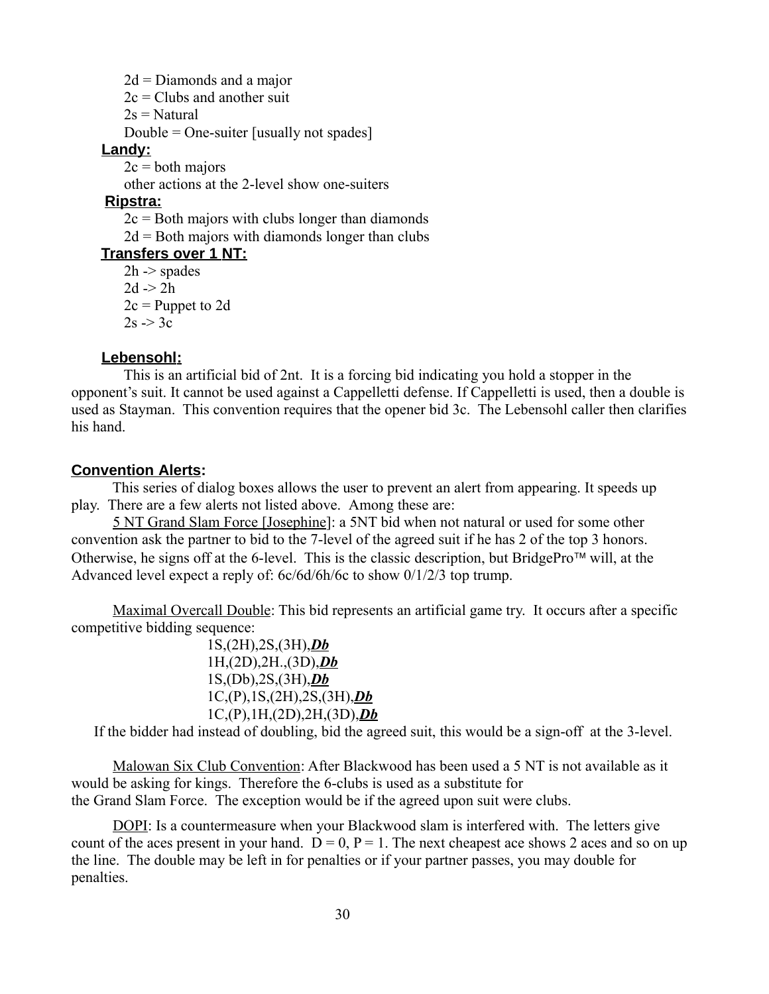$2d =$ Diamonds and a major  $2c = Clubs$  and another suit  $2s =$ Natural Double = One-suiter [usually not spades] **Landy:**  $2c =$ both majors other actions at the 2-level show one-suiters  **Ripstra:**  $2c =$ Both majors with clubs longer than diamonds  $2d =$ Both majors with diamonds longer than clubs  **Transfers over 1 NT:**  $2h \geq$  spades  $2d \geq 2h$  $2c =$  Puppet to 2d  $2s \geq 3c$ 

#### **Lebensohl:**

 This is an artificial bid of 2nt. It is a forcing bid indicating you hold a stopper in the opponent's suit. It cannot be used against a Cappelletti defense. If Cappelletti is used, then a double is used as Stayman. This convention requires that the opener bid 3c. The Lebensohl caller then clarifies his hand.

#### **Convention Alerts:**

 This series of dialog boxes allows the user to prevent an alert from appearing. It speeds up play. There are a few alerts not listed above. Among these are:

 5 NT Grand Slam Force [Josephine]: a 5NT bid when not natural or used for some other convention ask the partner to bid to the 7-level of the agreed suit if he has 2 of the top 3 honors. Otherwise, he signs off at the 6-level. This is the classic description, but BridgePro<sup> $t$ M</sup> will, at the Advanced level expect a reply of: 6c/6d/6h/6c to show 0/1/2/3 top trump.

 Maximal Overcall Double: This bid represents an artificial game try. It occurs after a specific competitive bidding sequence:

> 1S,(2H),2S,(3H),*Db* 1H,(2D),2H.,(3D),*Db* 1S,(Db),2S,(3H),*Db* 1C,(P),1S,(2H),2S,(3H),*Db* 1C,(P),1H,(2D),2H,(3D),*Db*

If the bidder had instead of doubling, bid the agreed suit, this would be a sign-off at the 3-level.

 Malowan Six Club Convention: After Blackwood has been used a 5 NT is not available as it would be asking for kings. Therefore the 6-clubs is used as a substitute for the Grand Slam Force. The exception would be if the agreed upon suit were clubs.

DOPI: Is a countermeasure when your Blackwood slam is interfered with. The letters give count of the aces present in your hand.  $D = 0$ ,  $P = 1$ . The next cheapest ace shows 2 aces and so on up the line. The double may be left in for penalties or if your partner passes, you may double for penalties.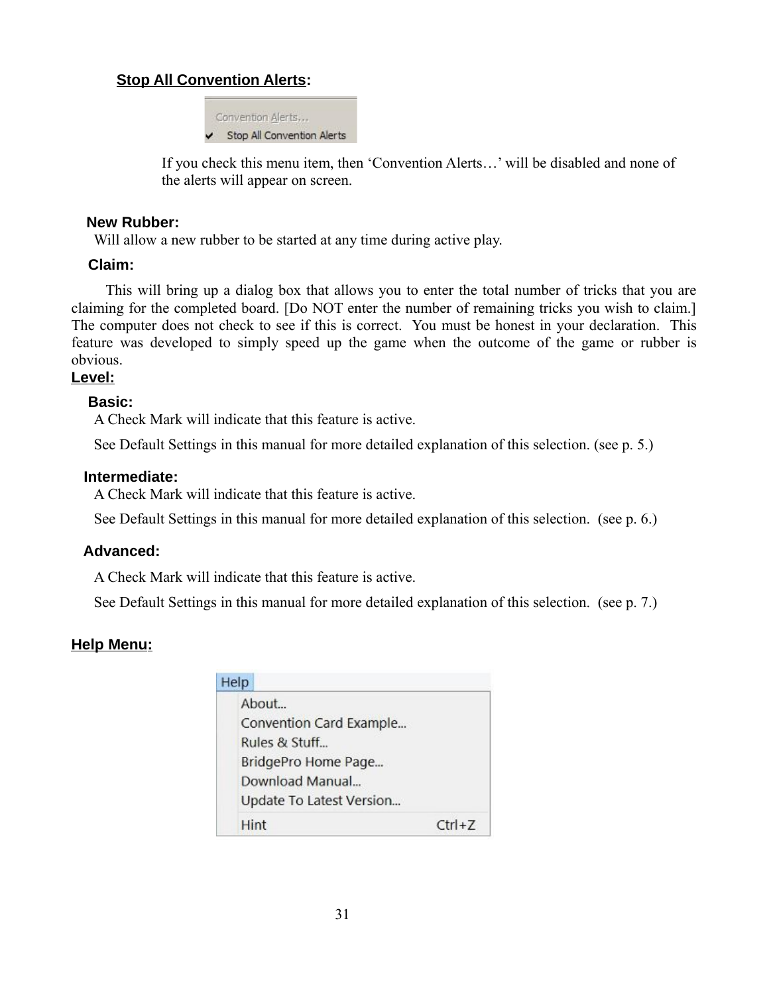## **Stop All Convention Alerts:**

Convention Alerts,.. Stop All Convention Alerts

If you check this menu item, then 'Convention Alerts…' will be disabled and none of the alerts will appear on screen.

## **New Rubber:**

Will allow a new rubber to be started at any time during active play.

## **Claim:**

 This will bring up a dialog box that allows you to enter the total number of tricks that you are claiming for the completed board. [Do NOT enter the number of remaining tricks you wish to claim.] The computer does not check to see if this is correct. You must be honest in your declaration. This feature was developed to simply speed up the game when the outcome of the game or rubber is obvious.

## **Level:**

## **Basic:**

A Check Mark will indicate that this feature is active.

See Default Settings in this manual for more detailed explanation of this selection. (see p. 5.)

## **Intermediate:**

A Check Mark will indicate that this feature is active.

See Default Settings in this manual for more detailed explanation of this selection. (see p. 6.)

## **Advanced:**

A Check Mark will indicate that this feature is active.

See Default Settings in this manual for more detailed explanation of this selection. (see p. 7.)

## **Help Menu:**

| Help |                          |            |
|------|--------------------------|------------|
|      | About                    |            |
|      | Convention Card Example  |            |
|      | Rules & Stuff            |            |
|      | BridgePro Home Page      |            |
|      | Download Manual          |            |
|      | Update To Latest Version |            |
|      | Hint                     | $Ctrl + Z$ |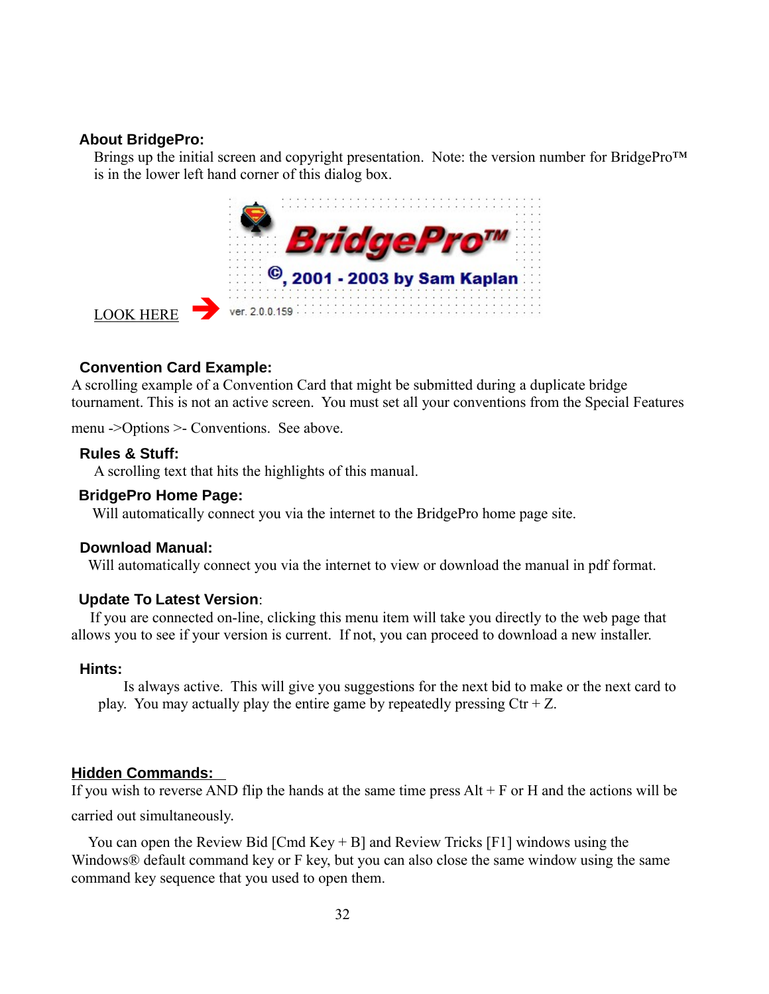### **About BridgePro:**

Brings up the initial screen and copyright presentation. Note: the version number for BridgePro™ is in the lower left hand corner of this dialog box.



## **Convention Card Example:**

A scrolling example of a Convention Card that might be submitted during a duplicate bridge tournament. This is not an active screen. You must set all your conventions from the Special Features

menu ->Options >- Conventions. See above.

#### **Rules & Stuff:**

A scrolling text that hits the highlights of this manual.

#### **BridgePro Home Page:**

Will automatically connect you via the internet to the BridgePro home page site.

#### **Download Manual:**

Will automatically connect you via the internet to view or download the manual in pdf format.

#### **Update To Latest Version**:

 If you are connected on-line, clicking this menu item will take you directly to the web page that allows you to see if your version is current. If not, you can proceed to download a new installer.

#### **Hints:**

Is always active. This will give you suggestions for the next bid to make or the next card to play. You may actually play the entire game by repeatedly pressing  $\text{Ctr} + Z$ .

#### **Hidden Commands:**

If you wish to reverse AND flip the hands at the same time press  $Alt + F$  or H and the actions will be carried out simultaneously.

 You can open the Review Bid [Cmd Key + B] and Review Tricks [F1] windows using the Windows<sup>®</sup> default command key or F key, but you can also close the same window using the same command key sequence that you used to open them.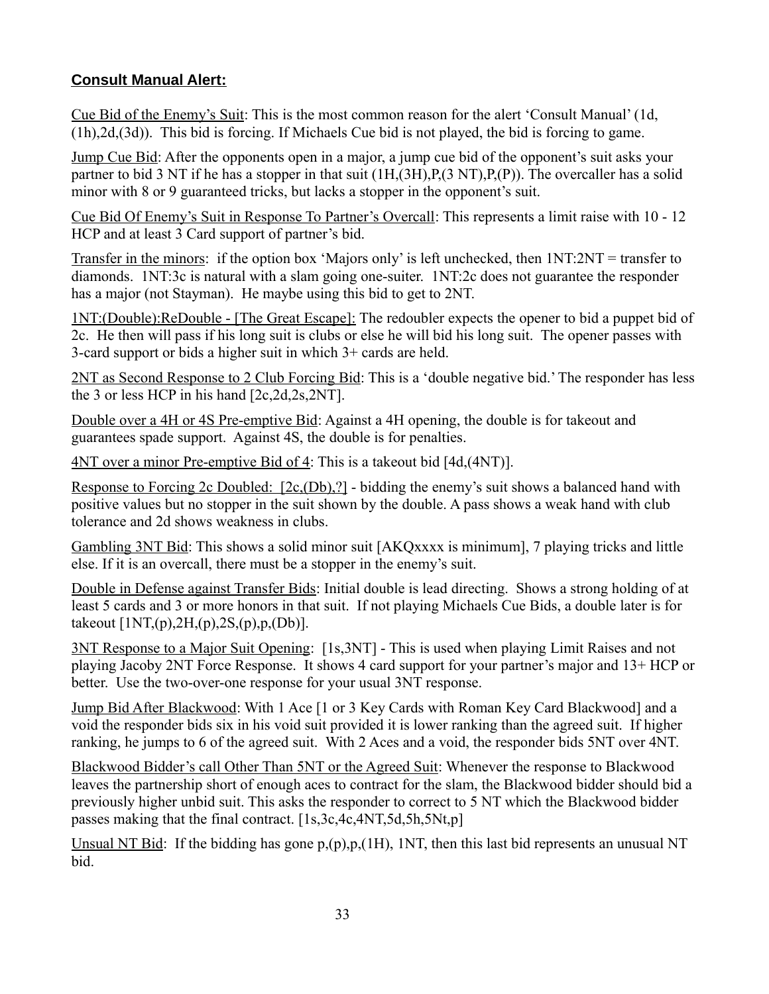## **Consult Manual Alert:**

Cue Bid of the Enemy's Suit: This is the most common reason for the alert 'Consult Manual' (1d, (1h),2d,(3d)). This bid is forcing. If Michaels Cue bid is not played, the bid is forcing to game.

Jump Cue Bid: After the opponents open in a major, a jump cue bid of the opponent's suit asks your partner to bid 3 NT if he has a stopper in that suit  $(1H,(3H),P,(3 NT),P,(P))$ . The overcaller has a solid minor with 8 or 9 guaranteed tricks, but lacks a stopper in the opponent's suit.

Cue Bid Of Enemy's Suit in Response To Partner's Overcall: This represents a limit raise with 10 - 12 HCP and at least 3 Card support of partner's bid.

Transfer in the minors: if the option box 'Majors only' is left unchecked, then 1NT:2NT = transfer to diamonds. 1NT:3c is natural with a slam going one-suiter. 1NT:2c does not guarantee the responder has a major (not Stayman). He maybe using this bid to get to 2NT.

1NT:(Double):ReDouble - [The Great Escape]: The redoubler expects the opener to bid a puppet bid of 2c. He then will pass if his long suit is clubs or else he will bid his long suit. The opener passes with 3-card support or bids a higher suit in which 3+ cards are held.

2NT as Second Response to 2 Club Forcing Bid: This is a 'double negative bid.' The responder has less the 3 or less HCP in his hand [2c,2d,2s,2NT].

Double over a 4H or 4S Pre-emptive Bid: Against a 4H opening, the double is for takeout and guarantees spade support. Against 4S, the double is for penalties.

4NT over a minor Pre-emptive Bid of 4: This is a takeout bid [4d,(4NT)].

Response to Forcing 2c Doubled: [2c,(Db),?] - bidding the enemy's suit shows a balanced hand with positive values but no stopper in the suit shown by the double. A pass shows a weak hand with club tolerance and 2d shows weakness in clubs.

Gambling 3NT Bid: This shows a solid minor suit [AKQxxxx is minimum], 7 playing tricks and little else. If it is an overcall, there must be a stopper in the enemy's suit.

Double in Defense against Transfer Bids: Initial double is lead directing. Shows a strong holding of at least 5 cards and 3 or more honors in that suit. If not playing Michaels Cue Bids, a double later is for takeout  $[1NT(p), 2H(p), 2S(p), p(Db)]$ .

3NT Response to a Major Suit Opening: [1s,3NT] - This is used when playing Limit Raises and not playing Jacoby 2NT Force Response. It shows 4 card support for your partner's major and 13+ HCP or better. Use the two-over-one response for your usual 3NT response.

Jump Bid After Blackwood: With 1 Ace [1 or 3 Key Cards with Roman Key Card Blackwood] and a void the responder bids six in his void suit provided it is lower ranking than the agreed suit. If higher ranking, he jumps to 6 of the agreed suit. With 2 Aces and a void, the responder bids 5NT over 4NT.

Blackwood Bidder's call Other Than 5NT or the Agreed Suit: Whenever the response to Blackwood leaves the partnership short of enough aces to contract for the slam, the Blackwood bidder should bid a previously higher unbid suit. This asks the responder to correct to 5 NT which the Blackwood bidder passes making that the final contract. [1s,3c,4c,4NT,5d,5h,5Nt,p]

Unsual NT Bid: If the bidding has gone  $p_1(p), p_2(1H)$ , 1NT, then this last bid represents an unusual NT bid.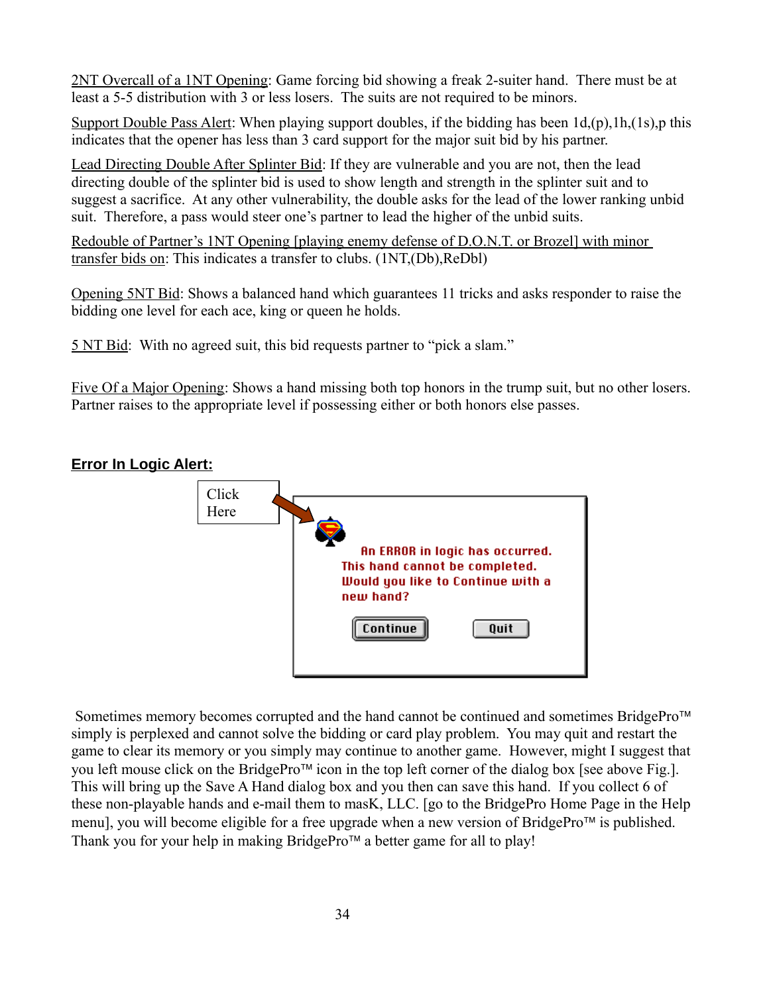2NT Overcall of a 1NT Opening: Game forcing bid showing a freak 2-suiter hand. There must be at least a 5-5 distribution with 3 or less losers. The suits are not required to be minors.

Support Double Pass Alert: When playing support doubles, if the bidding has been  $1d_p(p)$ , 1h, (1s), p this indicates that the opener has less than 3 card support for the major suit bid by his partner.

Lead Directing Double After Splinter Bid: If they are vulnerable and you are not, then the lead directing double of the splinter bid is used to show length and strength in the splinter suit and to suggest a sacrifice. At any other vulnerability, the double asks for the lead of the lower ranking unbid suit. Therefore, a pass would steer one's partner to lead the higher of the unbid suits.

Redouble of Partner's 1NT Opening [playing enemy defense of D.O.N.T. or Brozel] with minor transfer bids on: This indicates a transfer to clubs. (1NT,(Db),ReDbl)

Opening 5NT Bid: Shows a balanced hand which guarantees 11 tricks and asks responder to raise the bidding one level for each ace, king or queen he holds.

5 NT Bid: With no agreed suit, this bid requests partner to "pick a slam."

Five Of a Major Opening: Shows a hand missing both top honors in the trump suit, but no other losers. Partner raises to the appropriate level if possessing either or both honors else passes.

## **Error In Logic Alert:**



Sometimes memory becomes corrupted and the hand cannot be continued and sometimes BridgePro<sup>™</sup> simply is perplexed and cannot solve the bidding or card play problem. You may quit and restart the game to clear its memory or you simply may continue to another game. However, might I suggest that you left mouse click on the BridgePro<sup> $\text{TM}$ </sup> icon in the top left corner of the dialog box [see above Fig.]. This will bring up the Save A Hand dialog box and you then can save this hand. If you collect 6 of these non-playable hands and e-mail them to masK, LLC. [go to the BridgePro Home Page in the Help menu], you will become eligible for a free upgrade when a new version of BridgePro<sup> $\text{TM}$ </sup> is published. Thank you for your help in making BridgePro<sup> $t$ M</sup> a better game for all to play!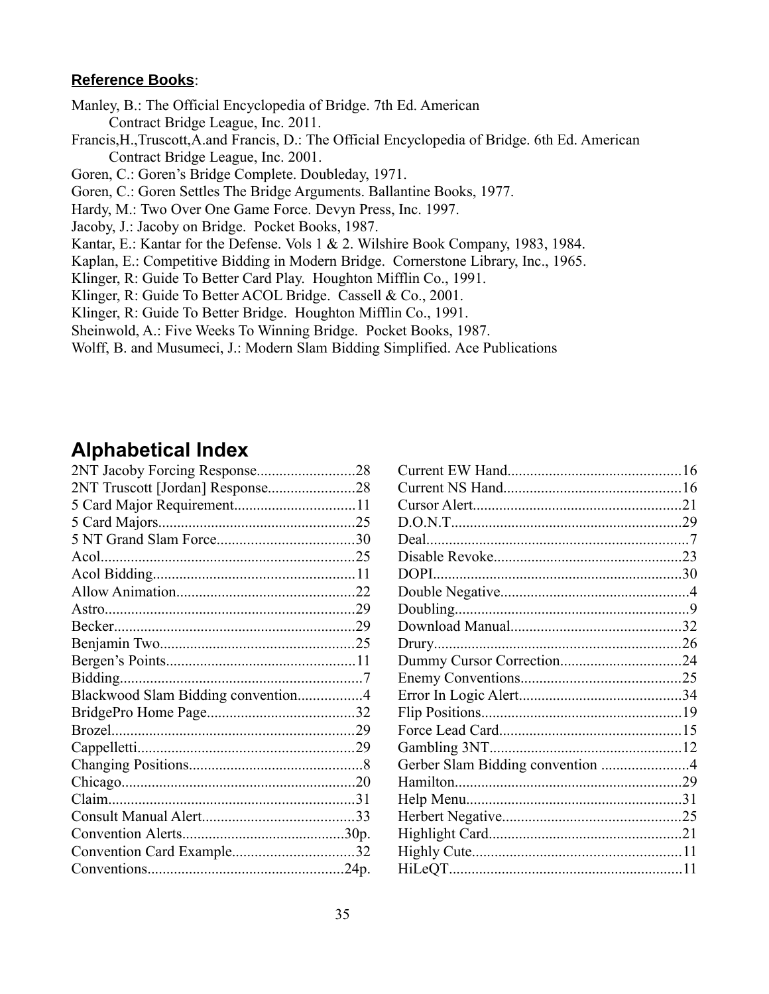## **Reference Books**:

Manley, B.: The Official Encyclopedia of Bridge. 7th Ed. American Contract Bridge League, Inc. 2011.

Francis,H.,Truscott,A.and Francis, D.: The Official Encyclopedia of Bridge. 6th Ed. American Contract Bridge League, Inc. 2001.

Goren, C.: Goren's Bridge Complete. Doubleday, 1971.

Goren, C.: Goren Settles The Bridge Arguments. Ballantine Books, 1977.

Hardy, M.: Two Over One Game Force. Devyn Press, Inc. 1997.

Jacoby, J.: Jacoby on Bridge. Pocket Books, 1987.

Kantar, E.: Kantar for the Defense. Vols 1 & 2. Wilshire Book Company, 1983, 1984.

Kaplan, E.: Competitive Bidding in Modern Bridge. Cornerstone Library, Inc., 1965.

Klinger, R: Guide To Better Card Play. Houghton Mifflin Co., 1991.

Klinger, R: Guide To Better ACOL Bridge. Cassell & Co., 2001.

Klinger, R: Guide To Better Bridge. Houghton Mifflin Co., 1991.

Sheinwold, A.: Five Weeks To Winning Bridge. Pocket Books, 1987.

Wolff, B. and Musumeci, J.: Modern Slam Bidding Simplified. Ace Publications

# **Alphabetical Index**

| 2NT Truscott [Jordan] Response28   |  |
|------------------------------------|--|
|                                    |  |
|                                    |  |
|                                    |  |
|                                    |  |
|                                    |  |
|                                    |  |
|                                    |  |
|                                    |  |
|                                    |  |
|                                    |  |
|                                    |  |
| Blackwood Slam Bidding convention4 |  |
|                                    |  |
|                                    |  |
|                                    |  |
|                                    |  |
|                                    |  |
|                                    |  |
|                                    |  |
|                                    |  |
|                                    |  |
|                                    |  |
|                                    |  |

| Gerber Slam Bidding convention 4 |  |
|----------------------------------|--|
|                                  |  |
|                                  |  |
|                                  |  |
|                                  |  |
|                                  |  |
|                                  |  |
|                                  |  |